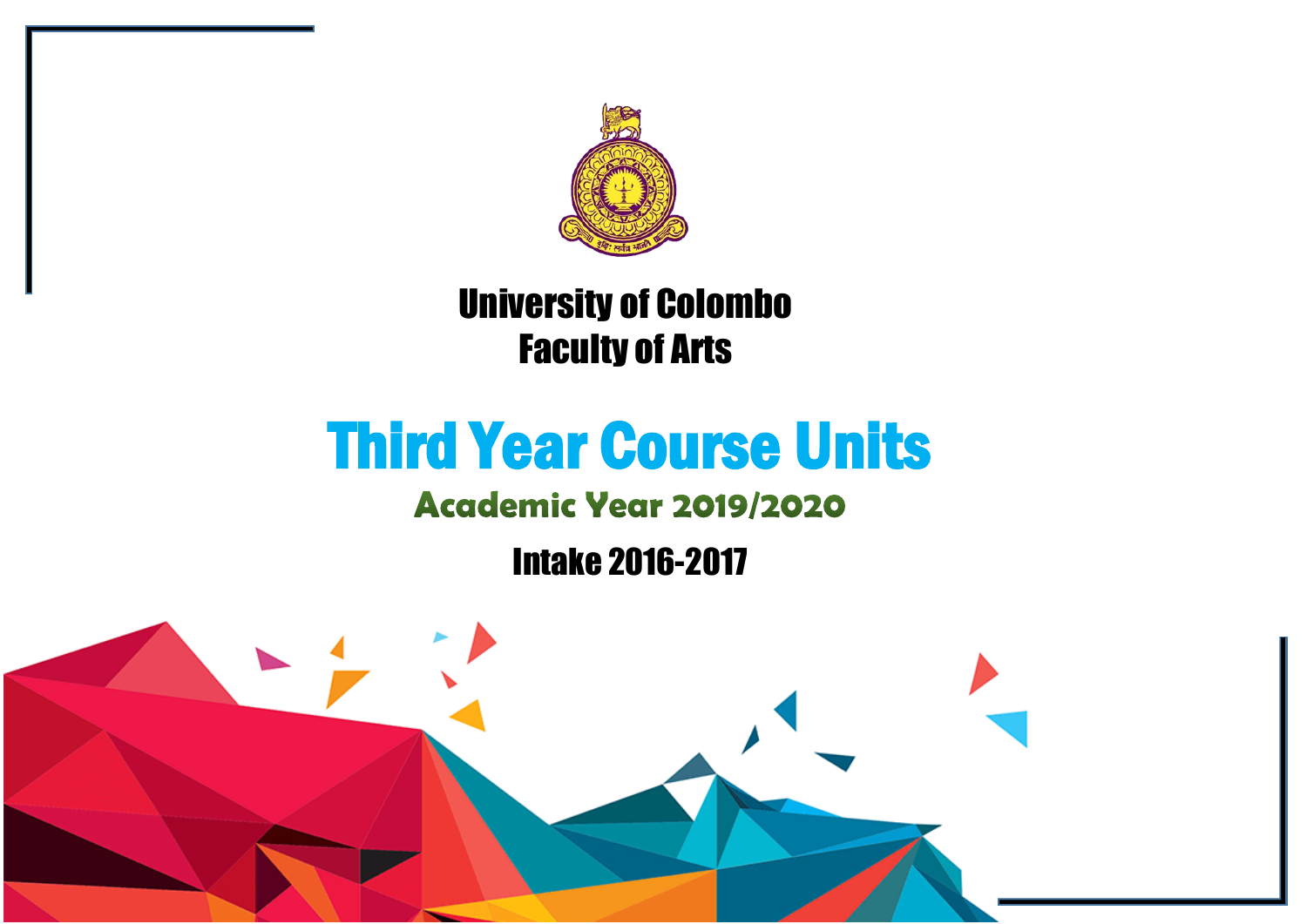

# University of Colombo Faculty of Arts

# Third Year Course Units

## **Academic Year 2019/2020**

Intake 2016-2017

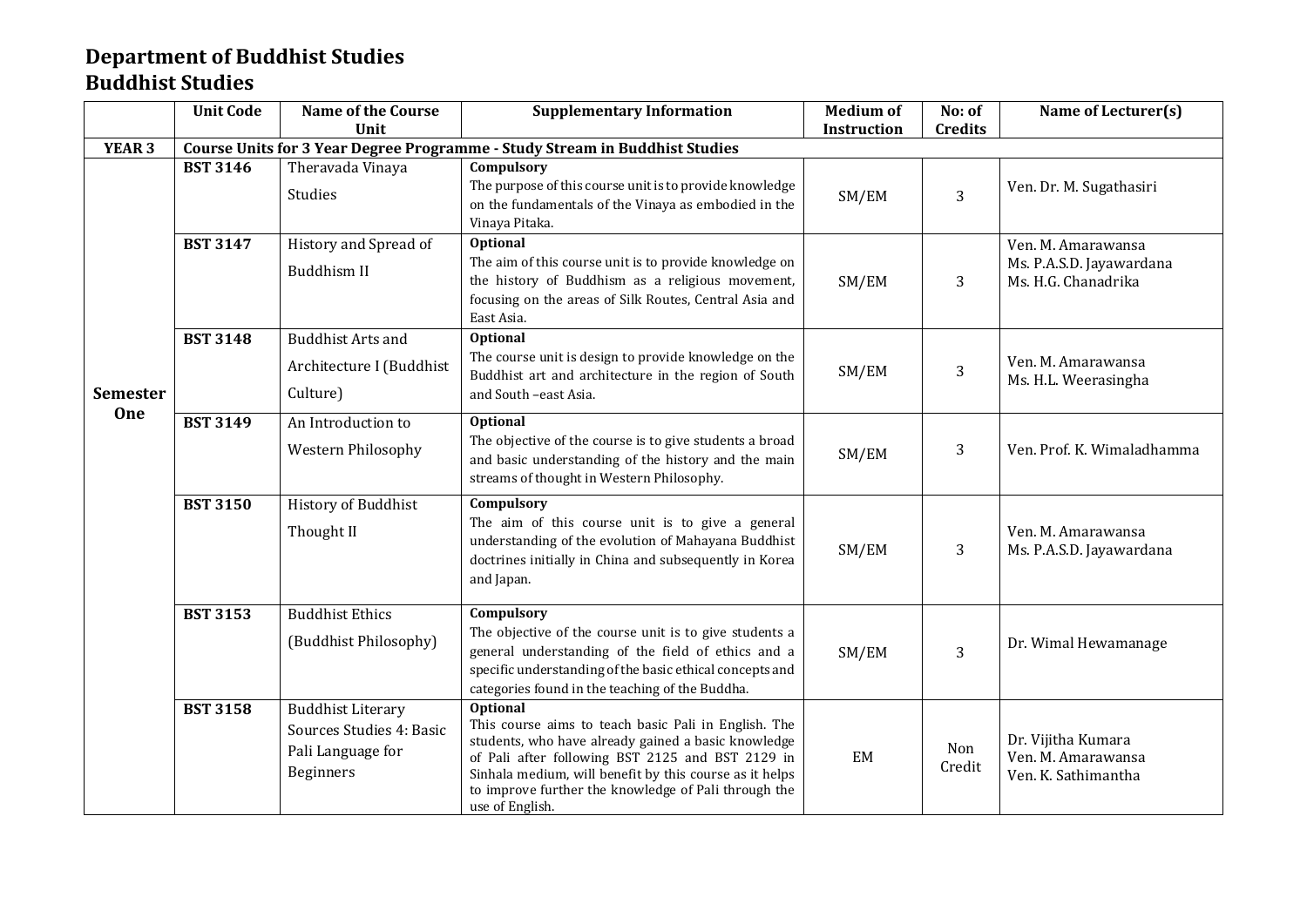#### **Department of Buddhist Studies Buddhist Studies**

|                        | <b>Unit Code</b> | <b>Name of the Course</b>                                                              | <b>Supplementary Information</b>                                                                                                                                                                                                                                                                                         | <b>Medium of</b>   | No: of         | Name of Lecturer(s)                                                   |
|------------------------|------------------|----------------------------------------------------------------------------------------|--------------------------------------------------------------------------------------------------------------------------------------------------------------------------------------------------------------------------------------------------------------------------------------------------------------------------|--------------------|----------------|-----------------------------------------------------------------------|
|                        |                  | Unit                                                                                   |                                                                                                                                                                                                                                                                                                                          | <b>Instruction</b> | <b>Credits</b> |                                                                       |
| <b>YEAR 3</b>          |                  |                                                                                        | Course Units for 3 Year Degree Programme - Study Stream in Buddhist Studies                                                                                                                                                                                                                                              |                    |                |                                                                       |
|                        | <b>BST 3146</b>  | Theravada Vinaya<br>Studies                                                            | Compulsory<br>The purpose of this course unit is to provide knowledge<br>on the fundamentals of the Vinaya as embodied in the<br>Vinaya Pitaka.                                                                                                                                                                          | SM/EM              | 3              | Ven. Dr. M. Sugathasiri                                               |
|                        | <b>BST 3147</b>  | History and Spread of<br>Buddhism II                                                   | <b>Optional</b><br>The aim of this course unit is to provide knowledge on<br>the history of Buddhism as a religious movement,<br>focusing on the areas of Silk Routes, Central Asia and<br>East Asia.                                                                                                                    | SM/EM              | 3              | Ven. M. Amarawansa<br>Ms. P.A.S.D. Jayawardana<br>Ms. H.G. Chanadrika |
| <b>Semester</b><br>One | <b>BST 3148</b>  | <b>Buddhist Arts and</b><br>Architecture I (Buddhist<br>Culture)                       | Optional<br>The course unit is design to provide knowledge on the<br>Buddhist art and architecture in the region of South<br>and South -east Asia.                                                                                                                                                                       | SM/EM              | 3              | Ven. M. Amarawansa<br>Ms. H.L. Weerasingha                            |
|                        | <b>BST 3149</b>  | An Introduction to<br>Western Philosophy                                               | <b>Optional</b><br>The objective of the course is to give students a broad<br>and basic understanding of the history and the main<br>streams of thought in Western Philosophy.                                                                                                                                           | SM/EM              | 3              | Ven. Prof. K. Wimaladhamma                                            |
|                        | <b>BST 3150</b>  | History of Buddhist<br>Thought II                                                      | Compulsory<br>The aim of this course unit is to give a general<br>understanding of the evolution of Mahayana Buddhist<br>doctrines initially in China and subsequently in Korea<br>and Japan.                                                                                                                            | SM/EM              | 3              | Ven. M. Amarawansa<br>Ms. P.A.S.D. Jayawardana                        |
|                        | <b>BST 3153</b>  | <b>Buddhist Ethics</b><br>(Buddhist Philosophy)                                        | Compulsory<br>The objective of the course unit is to give students a<br>general understanding of the field of ethics and a<br>specific understanding of the basic ethical concepts and<br>categories found in the teaching of the Buddha.                                                                                | SM/EM              | 3              | Dr. Wimal Hewamanage                                                  |
|                        | <b>BST 3158</b>  | <b>Buddhist Literary</b><br>Sources Studies 4: Basic<br>Pali Language for<br>Beginners | <b>Optional</b><br>This course aims to teach basic Pali in English. The<br>students, who have already gained a basic knowledge<br>of Pali after following BST 2125 and BST 2129 in<br>Sinhala medium, will benefit by this course as it helps<br>to improve further the knowledge of Pali through the<br>use of English. | EM                 | Non<br>Credit  | Dr. Vijitha Kumara<br>Ven. M. Amarawansa<br>Ven. K. Sathimantha       |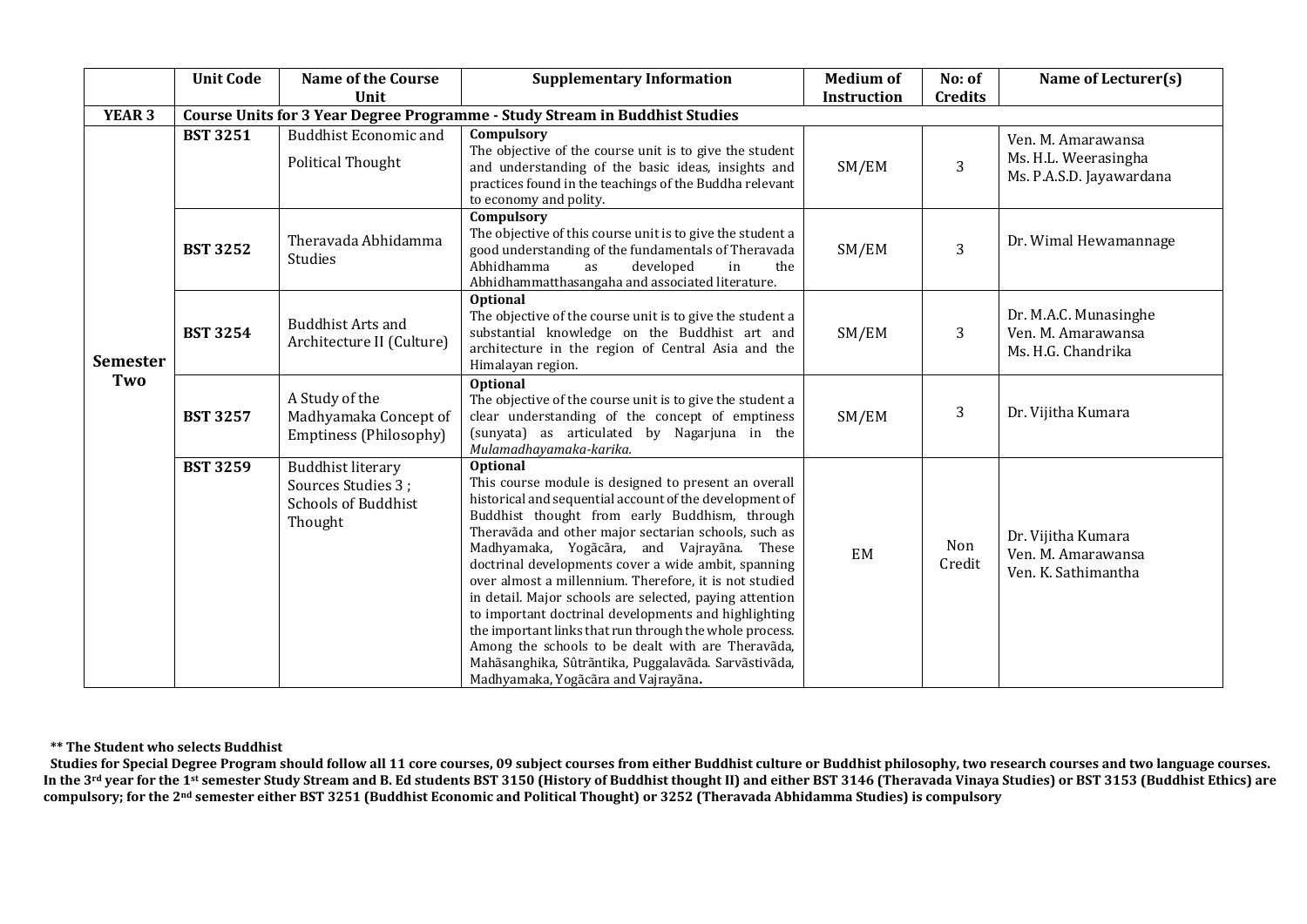|                 | <b>Unit Code</b> | <b>Name of the Course</b>                                                               | <b>Supplementary Information</b>                                                                                                                                                                                                                                                                                                                                                                                                                                                                                                                                                                                                                                                                                                             | <b>Medium of</b> | No: of         | Name of Lecturer(s)                                                    |
|-----------------|------------------|-----------------------------------------------------------------------------------------|----------------------------------------------------------------------------------------------------------------------------------------------------------------------------------------------------------------------------------------------------------------------------------------------------------------------------------------------------------------------------------------------------------------------------------------------------------------------------------------------------------------------------------------------------------------------------------------------------------------------------------------------------------------------------------------------------------------------------------------------|------------------|----------------|------------------------------------------------------------------------|
|                 |                  | Unit                                                                                    |                                                                                                                                                                                                                                                                                                                                                                                                                                                                                                                                                                                                                                                                                                                                              | Instruction      | <b>Credits</b> |                                                                        |
| <b>YEAR 3</b>   |                  |                                                                                         | Course Units for 3 Year Degree Programme - Study Stream in Buddhist Studies                                                                                                                                                                                                                                                                                                                                                                                                                                                                                                                                                                                                                                                                  |                  |                |                                                                        |
| <b>Semester</b> | <b>BST 3251</b>  | <b>Buddhist Economic and</b><br>Political Thought                                       | Compulsory<br>The objective of the course unit is to give the student<br>and understanding of the basic ideas, insights and<br>practices found in the teachings of the Buddha relevant<br>to economy and polity.                                                                                                                                                                                                                                                                                                                                                                                                                                                                                                                             | SM/EM            | 3              | Ven. M. Amarawansa<br>Ms. H.L. Weerasingha<br>Ms. P.A.S.D. Jayawardana |
|                 | <b>BST 3252</b>  | Theravada Abhidamma<br>Studies                                                          | Compulsory<br>The objective of this course unit is to give the student a<br>good understanding of the fundamentals of Theravada<br>Abhidhamma<br>developed<br>in<br>the<br>as<br>Abhidhammatthasangaha and associated literature.                                                                                                                                                                                                                                                                                                                                                                                                                                                                                                            | SM/EM            | 3              | Dr. Wimal Hewamannage                                                  |
|                 | <b>BST 3254</b>  | <b>Buddhist Arts and</b><br>Architecture II (Culture)                                   | Optional<br>The objective of the course unit is to give the student a<br>substantial knowledge on the Buddhist art and<br>SM/EM<br>architecture in the region of Central Asia and the<br>Himalayan region.                                                                                                                                                                                                                                                                                                                                                                                                                                                                                                                                   |                  | 3              | Dr. M.A.C. Munasinghe<br>Ven. M. Amarawansa<br>Ms. H.G. Chandrika      |
| Two             | <b>BST 3257</b>  | A Study of the<br>Madhyamaka Concept of<br>Emptiness (Philosophy)                       | <b>Optional</b><br>The objective of the course unit is to give the student a<br>clear understanding of the concept of emptiness<br>(sunyata) as articulated by Nagarjuna in the<br>Mulamadhayamaka-karika.                                                                                                                                                                                                                                                                                                                                                                                                                                                                                                                                   | SM/EM            | 3              | Dr. Vijitha Kumara                                                     |
|                 | <b>BST 3259</b>  | <b>Buddhist literary</b><br>Sources Studies 3;<br><b>Schools of Buddhist</b><br>Thought | <b>Optional</b><br>This course module is designed to present an overall<br>historical and sequential account of the development of<br>Buddhist thought from early Buddhism, through<br>Theravãda and other major sectarian schools, such as<br>Madhyamaka, Yogãcãra, and Vajrayãna. These<br>doctrinal developments cover a wide ambit, spanning<br>over almost a millennium. Therefore, it is not studied<br>in detail. Major schools are selected, paying attention<br>to important doctrinal developments and highlighting<br>the important links that run through the whole process.<br>Among the schools to be dealt with are Theravãda,<br>Mahãsanghika, Sûtrãntika, Puggalavãda. Sarvãstivãda,<br>Madhyamaka, Yogãcãra and Vajrayãna. | EM               | Non<br>Credit  | Dr. Vijitha Kumara<br>Ven. M. Amarawansa<br>Ven. K. Sathimantha        |

#### **\*\* The Student who selects Buddhist**

**Studies for Special Degree Program should follow all 11 core courses, 09 subject courses from either Buddhist culture or Buddhist philosophy, two research courses and two language courses.** In the 3rd year for the 1st semester Study Stream and B. Ed students BST 3150 (History of Buddhist thought II) and either BST 3146 (Theravada Vinaya Studies) or BST 3153 (Buddhist Ethics) are **compulsory; for the 2nd semester either BST 3251 (Buddhist Economic and Political Thought) or 3252 (Theravada Abhidamma Studies) is compulsory**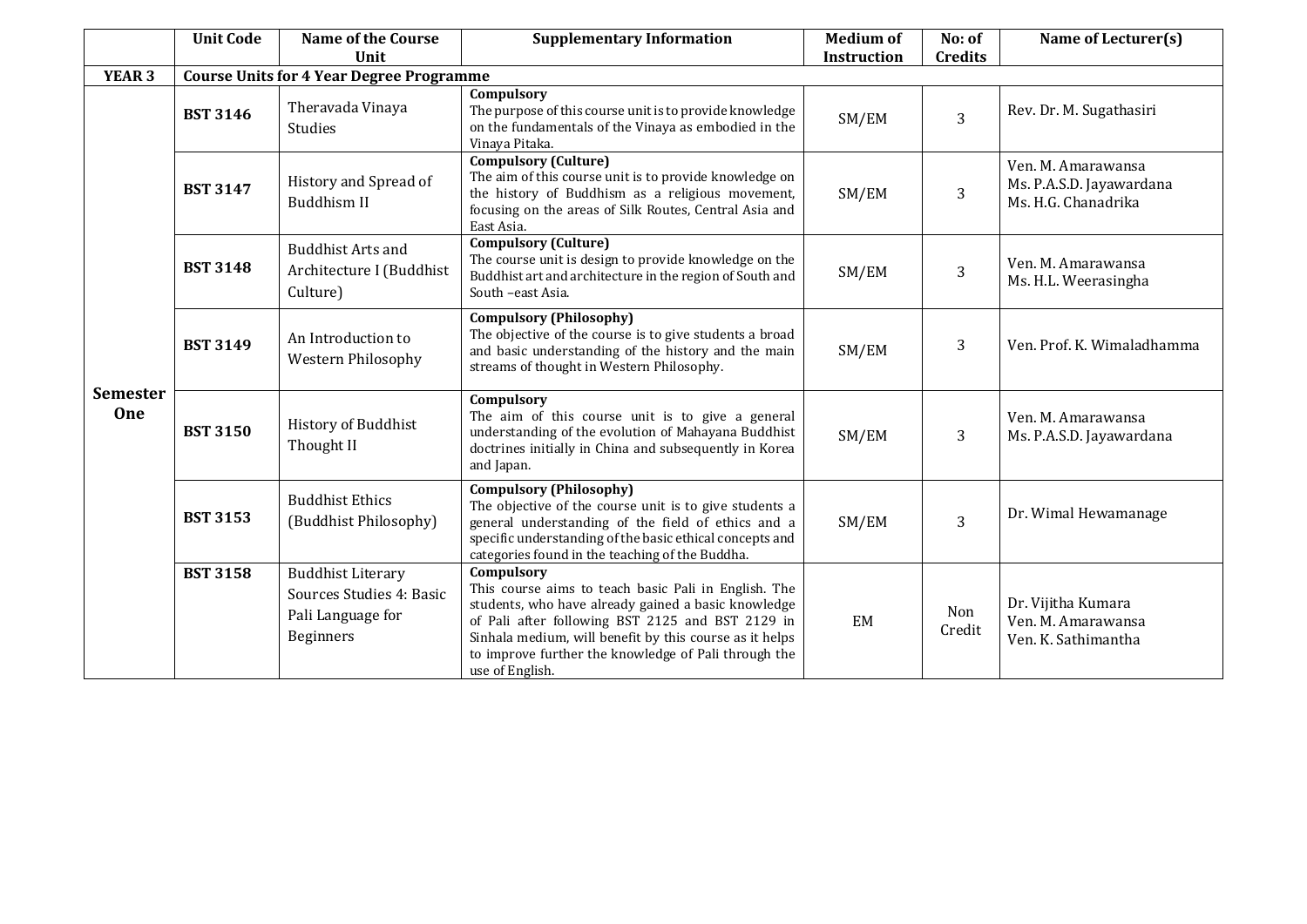|                        | <b>Unit Code</b> | <b>Name of the Course</b><br>Unit                                                             | <b>Supplementary Information</b>                                                                                                                                                                                                                                                                                    | <b>Medium of</b><br><b>Instruction</b> | No: of<br><b>Credits</b> | Name of Lecturer(s)                                                   |
|------------------------|------------------|-----------------------------------------------------------------------------------------------|---------------------------------------------------------------------------------------------------------------------------------------------------------------------------------------------------------------------------------------------------------------------------------------------------------------------|----------------------------------------|--------------------------|-----------------------------------------------------------------------|
| <b>YEAR 3</b>          |                  | <b>Course Units for 4 Year Degree Programme</b>                                               |                                                                                                                                                                                                                                                                                                                     |                                        |                          |                                                                       |
| <b>Semester</b><br>One | <b>BST 3146</b>  | Theravada Vinaya<br><b>Studies</b>                                                            | Compulsory<br>The purpose of this course unit is to provide knowledge<br>on the fundamentals of the Vinaya as embodied in the<br>Vinaya Pitaka.                                                                                                                                                                     | SM/EM                                  | 3                        | Rev. Dr. M. Sugathasiri                                               |
|                        | <b>BST 3147</b>  | History and Spread of<br>Buddhism II                                                          | <b>Compulsory (Culture)</b><br>The aim of this course unit is to provide knowledge on<br>the history of Buddhism as a religious movement,<br>focusing on the areas of Silk Routes, Central Asia and<br>East Asia.                                                                                                   | SM/EM                                  | 3                        | Ven. M. Amarawansa<br>Ms. P.A.S.D. Jayawardana<br>Ms. H.G. Chanadrika |
|                        | <b>BST 3148</b>  | <b>Buddhist Arts and</b><br>Architecture I (Buddhist<br>Culture)                              | <b>Compulsory (Culture)</b><br>The course unit is design to provide knowledge on the<br>Buddhist art and architecture in the region of South and<br>South -east Asia.                                                                                                                                               | SM/EM                                  | 3                        | Ven. M. Amarawansa<br>Ms. H.L. Weerasingha                            |
|                        | <b>BST 3149</b>  | An Introduction to<br><b>Western Philosophy</b>                                               | <b>Compulsory (Philosophy)</b><br>The objective of the course is to give students a broad<br>and basic understanding of the history and the main<br>streams of thought in Western Philosophy.                                                                                                                       | SM/EM                                  | 3                        | Ven. Prof. K. Wimaladhamma                                            |
|                        | <b>BST 3150</b>  | History of Buddhist<br>Thought II                                                             | Compulsory<br>The aim of this course unit is to give a general<br>understanding of the evolution of Mahayana Buddhist<br>doctrines initially in China and subsequently in Korea<br>and Japan.                                                                                                                       | SM/EM                                  | 3                        | Ven. M. Amarawansa<br>Ms. P.A.S.D. Jayawardana                        |
|                        | <b>BST 3153</b>  | <b>Buddhist Ethics</b><br>(Buddhist Philosophy)                                               | <b>Compulsory (Philosophy)</b><br>The objective of the course unit is to give students a<br>general understanding of the field of ethics and a<br>specific understanding of the basic ethical concepts and<br>categories found in the teaching of the Buddha.                                                       | SM/EM                                  | 3                        | Dr. Wimal Hewamanage                                                  |
|                        | <b>BST 3158</b>  | <b>Buddhist Literary</b><br>Sources Studies 4: Basic<br>Pali Language for<br><b>Beginners</b> | Compulsory<br>This course aims to teach basic Pali in English. The<br>students, who have already gained a basic knowledge<br>of Pali after following BST 2125 and BST 2129 in<br>Sinhala medium, will benefit by this course as it helps<br>to improve further the knowledge of Pali through the<br>use of English. | EM                                     | Non<br>Credit            | Dr. Vijitha Kumara<br>Ven. M. Amarawansa<br>Ven. K. Sathimantha       |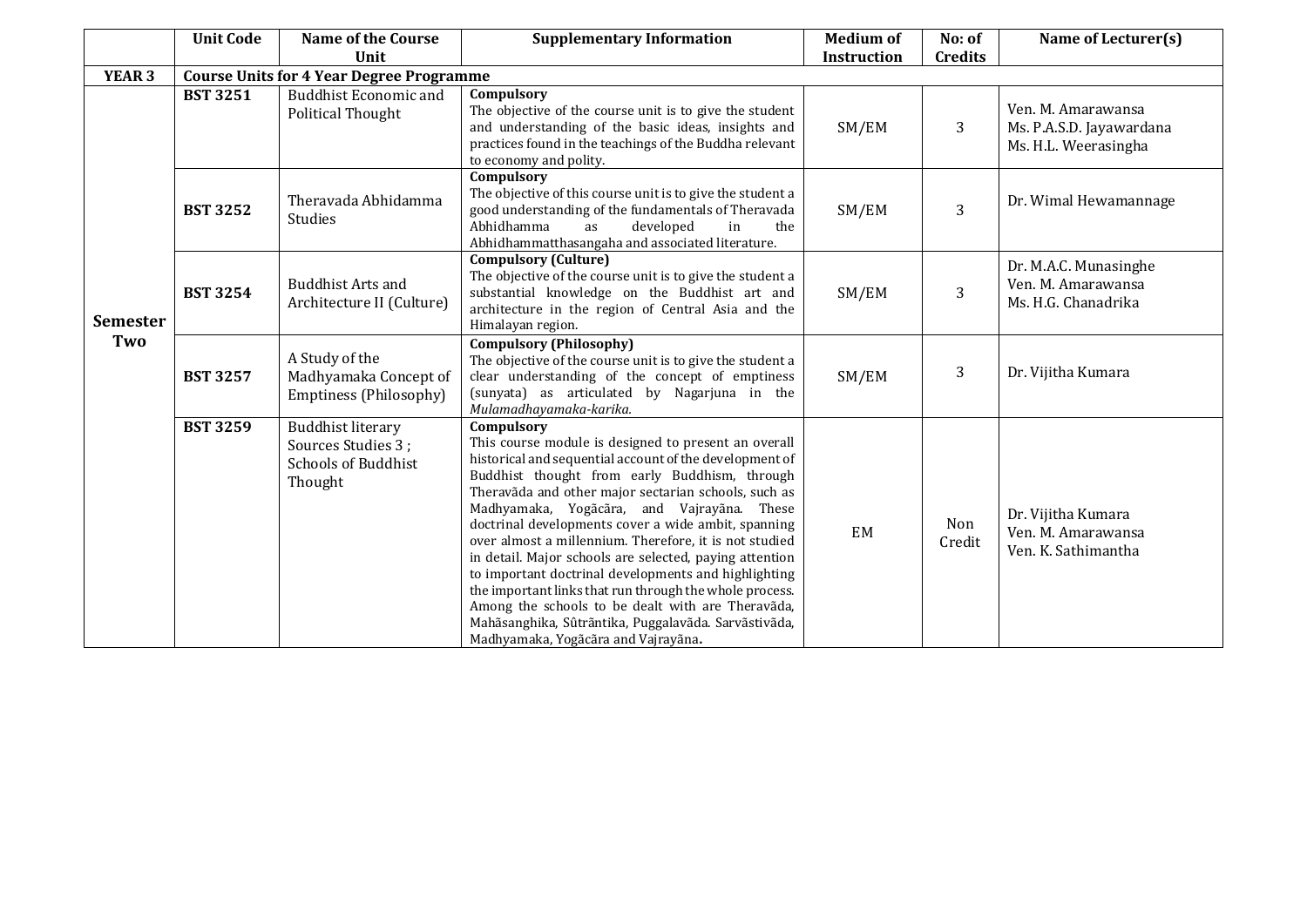|                        | <b>Unit Code</b> | <b>Name of the Course</b><br>Unit                                                       | <b>Supplementary Information</b>                                                                                                                                                                                                                                                                                                                                                                                                                                                                                                                                                                                                                                                                                                        | <b>Medium of</b><br><b>Instruction</b> | No: of<br><b>Credits</b> | Name of Lecturer(s)                                                    |
|------------------------|------------------|-----------------------------------------------------------------------------------------|-----------------------------------------------------------------------------------------------------------------------------------------------------------------------------------------------------------------------------------------------------------------------------------------------------------------------------------------------------------------------------------------------------------------------------------------------------------------------------------------------------------------------------------------------------------------------------------------------------------------------------------------------------------------------------------------------------------------------------------------|----------------------------------------|--------------------------|------------------------------------------------------------------------|
| <b>YEAR 3</b>          |                  | <b>Course Units for 4 Year Degree Programme</b>                                         |                                                                                                                                                                                                                                                                                                                                                                                                                                                                                                                                                                                                                                                                                                                                         |                                        |                          |                                                                        |
| <b>Semester</b><br>Two | <b>BST 3251</b>  | <b>Buddhist Economic and</b><br><b>Political Thought</b>                                | Compulsory<br>The objective of the course unit is to give the student<br>and understanding of the basic ideas, insights and<br>practices found in the teachings of the Buddha relevant<br>to economy and polity.                                                                                                                                                                                                                                                                                                                                                                                                                                                                                                                        | SM/EM                                  | 3                        | Ven. M. Amarawansa<br>Ms. P.A.S.D. Jayawardana<br>Ms. H.L. Weerasingha |
|                        | <b>BST 3252</b>  | Theravada Abhidamma<br>Studies                                                          | Compulsory<br>The objective of this course unit is to give the student a<br>good understanding of the fundamentals of Theravada<br>Abhidhamma<br>developed<br>in<br>the<br>as<br>Abhidhammatthasangaha and associated literature.                                                                                                                                                                                                                                                                                                                                                                                                                                                                                                       | SM/EM                                  | 3                        | Dr. Wimal Hewamannage                                                  |
|                        | <b>BST 3254</b>  | <b>Buddhist Arts and</b><br>Architecture II (Culture)                                   | <b>Compulsory (Culture)</b><br>The objective of the course unit is to give the student a<br>substantial knowledge on the Buddhist art and<br>architecture in the region of Central Asia and the<br>Himalayan region.                                                                                                                                                                                                                                                                                                                                                                                                                                                                                                                    | SM/EM                                  | 3                        | Dr. M.A.C. Munasinghe<br>Ven. M. Amarawansa<br>Ms. H.G. Chanadrika     |
|                        | <b>BST 3257</b>  | A Study of the<br>Madhyamaka Concept of<br>Emptiness (Philosophy)                       | <b>Compulsory (Philosophy)</b><br>The objective of the course unit is to give the student a<br>clear understanding of the concept of emptiness<br>(sunyata) as articulated by Nagarjuna in the<br>Mulamadhayamaka-karika.                                                                                                                                                                                                                                                                                                                                                                                                                                                                                                               | SM/EM                                  | 3                        | Dr. Vijitha Kumara                                                     |
|                        | <b>BST 3259</b>  | <b>Buddhist literary</b><br>Sources Studies 3;<br><b>Schools of Buddhist</b><br>Thought | Compulsory<br>This course module is designed to present an overall<br>historical and sequential account of the development of<br>Buddhist thought from early Buddhism, through<br>Theravãda and other major sectarian schools, such as<br>Madhyamaka, Yogãcãra, and Vajrayãna. These<br>doctrinal developments cover a wide ambit, spanning<br>over almost a millennium. Therefore, it is not studied<br>in detail. Major schools are selected, paying attention<br>to important doctrinal developments and highlighting<br>the important links that run through the whole process.<br>Among the schools to be dealt with are Theravãda,<br>Mahãsanghika, Sûtrãntika, Puggalavãda. Sarvãstivãda,<br>Madhyamaka, Yogãcãra and Vajrayãna. | EM                                     | Non<br>Credit            | Dr. Vijitha Kumara<br>Ven. M. Amarawansa<br>Ven. K. Sathimantha        |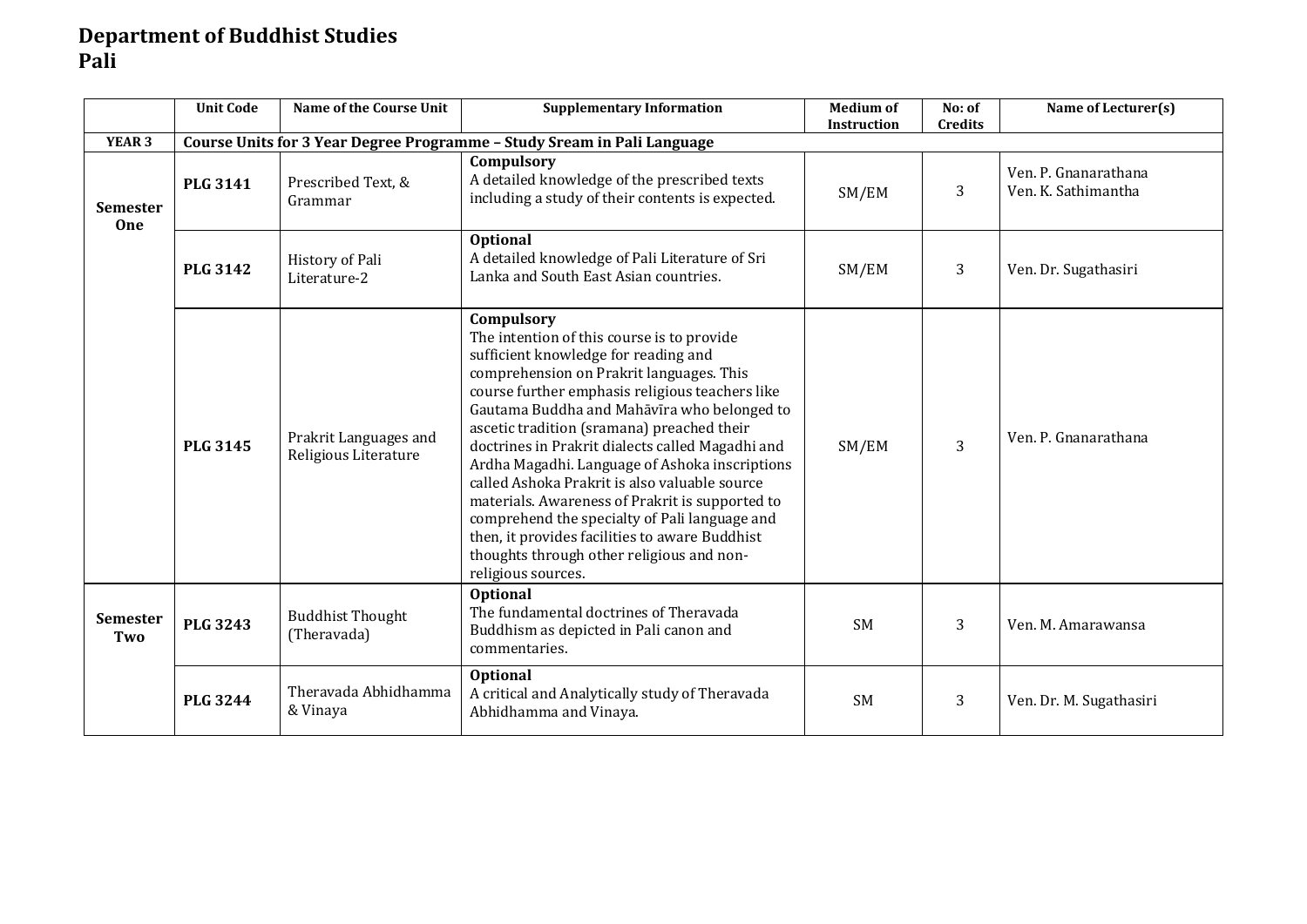#### **Department of Buddhist Studies Pali**

|                               | <b>Unit Code</b> | <b>Name of the Course Unit</b>                | <b>Supplementary Information</b>                                                                                                                                                                                                                                                                                                                                                                                                                                                                                                                                                                                                                                             | <b>Medium of</b><br><b>Instruction</b> | No: of<br><b>Credits</b> | Name of Lecturer(s)                         |
|-------------------------------|------------------|-----------------------------------------------|------------------------------------------------------------------------------------------------------------------------------------------------------------------------------------------------------------------------------------------------------------------------------------------------------------------------------------------------------------------------------------------------------------------------------------------------------------------------------------------------------------------------------------------------------------------------------------------------------------------------------------------------------------------------------|----------------------------------------|--------------------------|---------------------------------------------|
| <b>YEAR 3</b>                 |                  |                                               | Course Units for 3 Year Degree Programme - Study Sream in Pali Language                                                                                                                                                                                                                                                                                                                                                                                                                                                                                                                                                                                                      |                                        |                          |                                             |
| <b>Semester</b><br><b>One</b> | <b>PLG 3141</b>  | Prescribed Text, &<br>Grammar                 | Compulsory<br>A detailed knowledge of the prescribed texts<br>including a study of their contents is expected.                                                                                                                                                                                                                                                                                                                                                                                                                                                                                                                                                               | SM/EM                                  | 3                        | Ven. P. Gnanarathana<br>Ven. K. Sathimantha |
|                               | <b>PLG 3142</b>  | History of Pali<br>Literature-2               | <b>Optional</b><br>A detailed knowledge of Pali Literature of Sri<br>Lanka and South East Asian countries.                                                                                                                                                                                                                                                                                                                                                                                                                                                                                                                                                                   | SM/EM                                  | 3                        | Ven. Dr. Sugathasiri                        |
|                               | <b>PLG 3145</b>  | Prakrit Languages and<br>Religious Literature | Compulsory<br>The intention of this course is to provide<br>sufficient knowledge for reading and<br>comprehension on Prakrit languages. This<br>course further emphasis religious teachers like<br>Gautama Buddha and Mahāvīra who belonged to<br>ascetic tradition (sramana) preached their<br>doctrines in Prakrit dialects called Magadhi and<br>Ardha Magadhi. Language of Ashoka inscriptions<br>called Ashoka Prakrit is also valuable source<br>materials. Awareness of Prakrit is supported to<br>comprehend the specialty of Pali language and<br>then, it provides facilities to aware Buddhist<br>thoughts through other religious and non-<br>religious sources. | SM/EM                                  | $\overline{3}$           | Ven. P. Gnanarathana                        |
| <b>Semester</b><br>Two        | <b>PLG 3243</b>  | <b>Buddhist Thought</b><br>(Theravada)        | <b>Optional</b><br>The fundamental doctrines of Theravada<br>Buddhism as depicted in Pali canon and<br>commentaries.                                                                                                                                                                                                                                                                                                                                                                                                                                                                                                                                                         | <b>SM</b>                              | 3                        | Ven. M. Amarawansa                          |
|                               | <b>PLG 3244</b>  | Theravada Abhidhamma<br>& Vinaya              | Optional<br>A critical and Analytically study of Theravada<br>Abhidhamma and Vinaya.                                                                                                                                                                                                                                                                                                                                                                                                                                                                                                                                                                                         | <b>SM</b>                              | 3                        | Ven. Dr. M. Sugathasiri                     |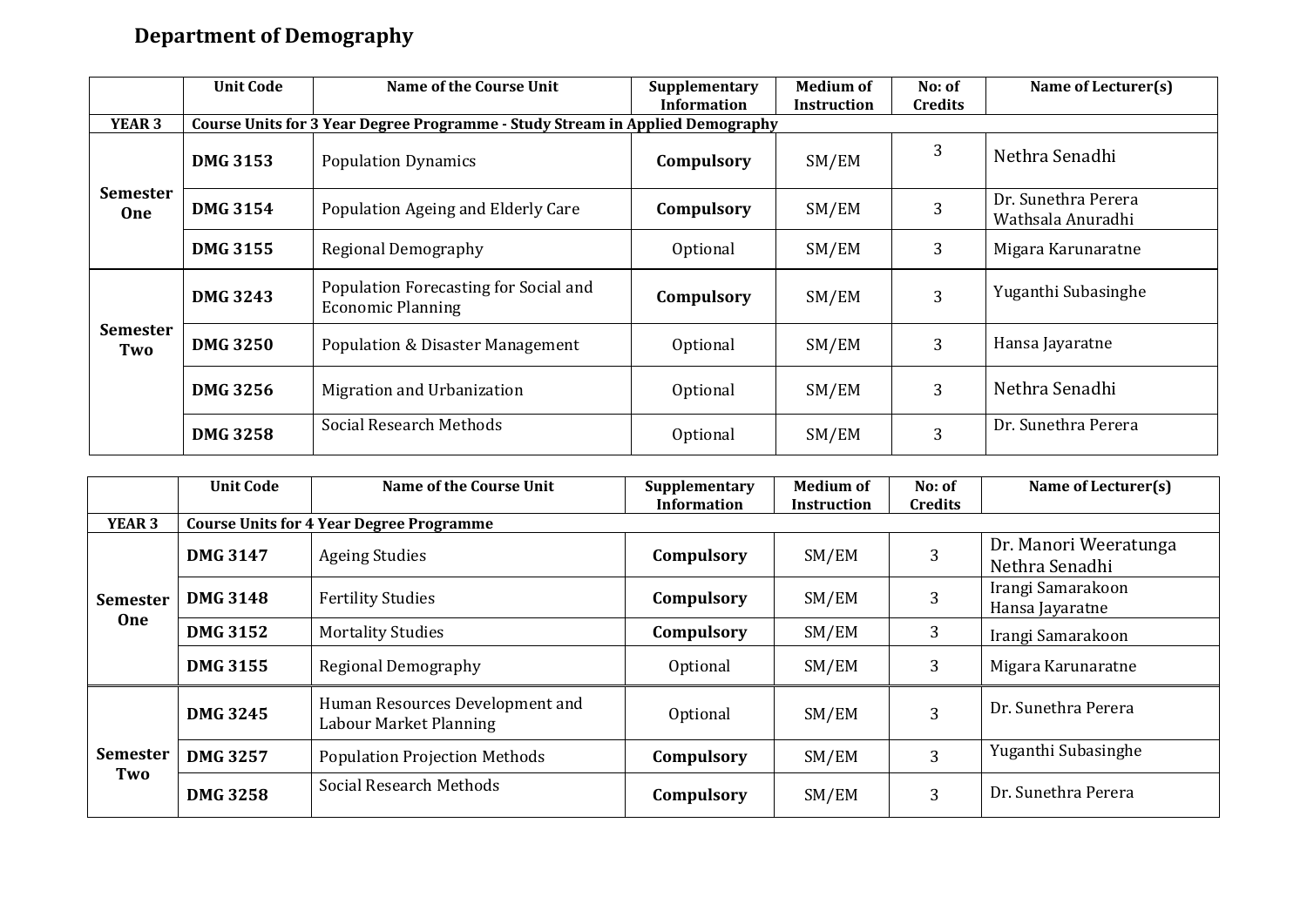## **Department of Demography**

|                               | <b>Unit Code</b> | Name of the Course Unit                                                       | Supplementary      | <b>Medium of</b> | No: of         | Name of Lecturer(s)                      |  |  |  |  |  |
|-------------------------------|------------------|-------------------------------------------------------------------------------|--------------------|------------------|----------------|------------------------------------------|--|--|--|--|--|
|                               |                  |                                                                               | <b>Information</b> | Instruction      | <b>Credits</b> |                                          |  |  |  |  |  |
| YEAR <sub>3</sub>             |                  | Course Units for 3 Year Degree Programme - Study Stream in Applied Demography |                    |                  |                |                                          |  |  |  |  |  |
| <b>Semester</b><br><b>One</b> | <b>DMG 3153</b>  | <b>Population Dynamics</b>                                                    | Compulsory         | SM/EM            | 3              | Nethra Senadhi                           |  |  |  |  |  |
|                               | <b>DMG 3154</b>  | Population Ageing and Elderly Care                                            | Compulsory         | SM/EM            | 3              | Dr. Sunethra Perera<br>Wathsala Anuradhi |  |  |  |  |  |
|                               | <b>DMG 3155</b>  | Regional Demography                                                           | Optional           | SM/EM            | 3              | Migara Karunaratne                       |  |  |  |  |  |
|                               | <b>DMG 3243</b>  | Population Forecasting for Social and<br><b>Economic Planning</b>             | Compulsory         | SM/EM            | 3              | Yuganthi Subasinghe                      |  |  |  |  |  |
| <b>Semester</b><br>Two        | <b>DMG 3250</b>  | <b>Population &amp; Disaster Management</b>                                   | Optional           | SM/EM            | 3              | Hansa Jayaratne                          |  |  |  |  |  |
|                               | <b>DMG 3256</b>  | Migration and Urbanization                                                    | Optional           | SM/EM            | 3              | Nethra Senadhi                           |  |  |  |  |  |
|                               | <b>DMG 3258</b>  | Social Research Methods                                                       | Optional           | SM/EM            | 3              | Dr. Sunethra Perera                      |  |  |  |  |  |

|                        | <b>Unit Code</b> | <b>Name of the Course Unit</b>                            | Supplementary<br><b>Information</b> | <b>Medium of</b><br>Instruction | No: of<br><b>Credits</b> | Name of Lecturer(s)                     |
|------------------------|------------------|-----------------------------------------------------------|-------------------------------------|---------------------------------|--------------------------|-----------------------------------------|
| <b>YEAR 3</b>          |                  | <b>Course Units for 4 Year Degree Programme</b>           |                                     |                                 |                          |                                         |
| <b>Semester</b><br>One | <b>DMG 3147</b>  | <b>Ageing Studies</b>                                     | Compulsory                          | SM/EM                           | 3                        | Dr. Manori Weeratunga<br>Nethra Senadhi |
|                        | <b>DMG 3148</b>  | <b>Fertility Studies</b>                                  | Compulsory                          | SM/EM                           | 3                        | Irangi Samarakoon<br>Hansa Jayaratne    |
|                        | <b>DMG 3152</b>  | <b>Mortality Studies</b>                                  | Compulsory                          | SM/EM                           | 3                        | Irangi Samarakoon                       |
|                        | <b>DMG 3155</b>  | Regional Demography                                       | Optional                            | SM/EM                           | 3                        | Migara Karunaratne                      |
| <b>Semester</b><br>Two | <b>DMG 3245</b>  | Human Resources Development and<br>Labour Market Planning | Optional                            | SM/EM                           | 3                        | Dr. Sunethra Perera                     |
|                        | <b>DMG 3257</b>  | <b>Population Projection Methods</b>                      | Compulsory                          | SM/EM                           | 3                        | Yuganthi Subasinghe                     |
|                        | <b>DMG 3258</b>  | Social Research Methods                                   | Compulsory                          | SM/EM                           | 3                        | Dr. Sunethra Perera                     |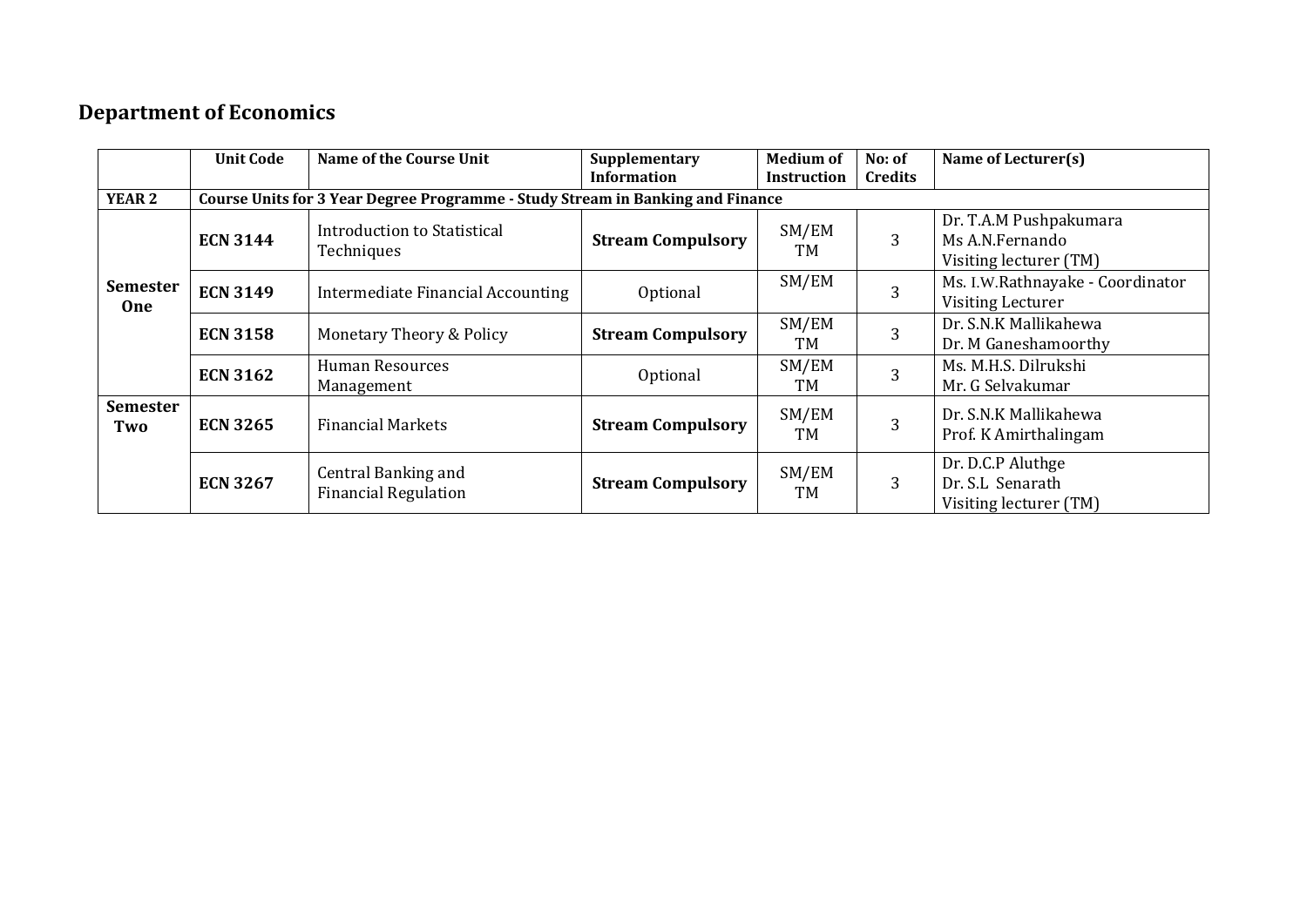#### **Department of Economics**

|                               | <b>Unit Code</b> | Name of the Course Unit                                                        | Supplementary<br><b>Information</b> | <b>Medium of</b><br><b>Instruction</b> | No: of<br><b>Credits</b> | Name of Lecturer(s)                                                 |
|-------------------------------|------------------|--------------------------------------------------------------------------------|-------------------------------------|----------------------------------------|--------------------------|---------------------------------------------------------------------|
| <b>YEAR 2</b>                 |                  | Course Units for 3 Year Degree Programme - Study Stream in Banking and Finance |                                     |                                        |                          |                                                                     |
| <b>Semester</b><br><b>One</b> | <b>ECN 3144</b>  | Introduction to Statistical<br>Techniques                                      | <b>Stream Compulsory</b>            | SM/EM<br>TM                            | 3                        | Dr. T.A.M Pushpakumara<br>Ms A.N.Fernando<br>Visiting lecturer (TM) |
|                               | <b>ECN 3149</b>  | Intermediate Financial Accounting                                              | Optional                            | SM/EM                                  | 3                        | Ms. I.W.Rathnayake - Coordinator<br><b>Visiting Lecturer</b>        |
|                               | <b>ECN 3158</b>  | Monetary Theory & Policy                                                       | <b>Stream Compulsory</b>            | SM/EM<br>TM                            | 3                        | Dr. S.N.K Mallikahewa<br>Dr. M Ganeshamoorthy                       |
|                               | <b>ECN 3162</b>  | Human Resources<br>Management                                                  | Optional                            | SM/EM<br>TМ                            | 3                        | Ms. M.H.S. Dilrukshi<br>Mr. G Selvakumar                            |
| <b>Semester</b><br>Two        | <b>ECN 3265</b>  | <b>Financial Markets</b>                                                       | <b>Stream Compulsory</b>            | SM/EM<br>TM                            | 3                        | Dr. S.N.K Mallikahewa<br>Prof. K Amirthalingam                      |
|                               | <b>ECN 3267</b>  | Central Banking and<br><b>Financial Regulation</b>                             | <b>Stream Compulsory</b>            | SM/EM<br>TM                            | 3                        | Dr. D.C.P Aluthge<br>Dr. S.L Senarath<br>Visiting lecturer (TM)     |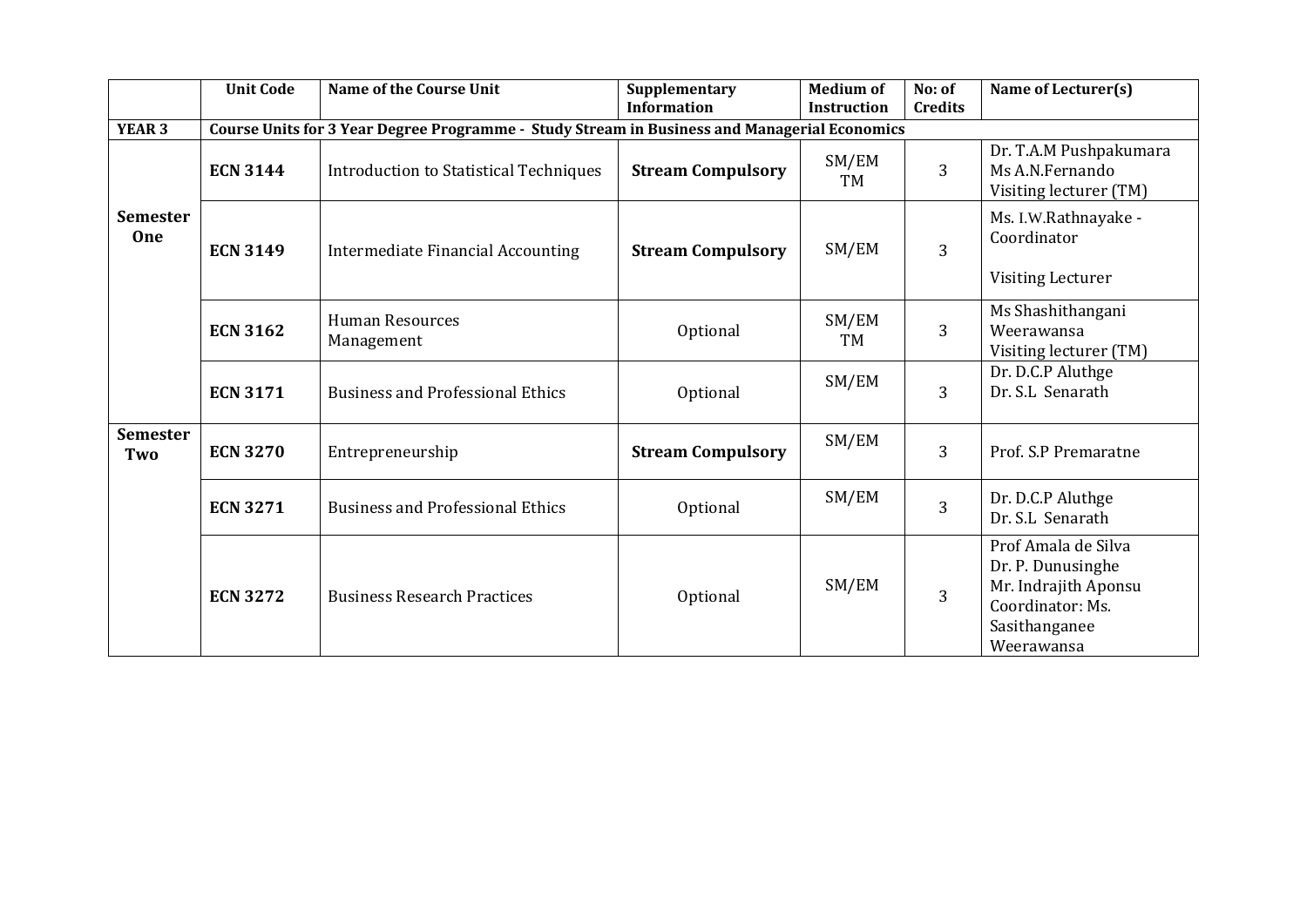|                               | <b>Unit Code</b> | <b>Name of the Course Unit</b>                                                               | Supplementary<br><b>Information</b> | <b>Medium of</b><br><b>Instruction</b> | No: of<br><b>Credits</b> | Name of Lecturer(s)                                                                                                 |
|-------------------------------|------------------|----------------------------------------------------------------------------------------------|-------------------------------------|----------------------------------------|--------------------------|---------------------------------------------------------------------------------------------------------------------|
| <b>YEAR 3</b>                 |                  | Course Units for 3 Year Degree Programme - Study Stream in Business and Managerial Economics |                                     |                                        |                          |                                                                                                                     |
|                               | <b>ECN 3144</b>  | <b>Stream Compulsory</b><br>Introduction to Statistical Techniques                           |                                     | SM/EM<br>TM                            | $\overline{3}$           | Dr. T.A.M Pushpakumara<br>Ms A.N.Fernando<br>Visiting lecturer (TM)                                                 |
| <b>Semester</b><br><b>One</b> | <b>ECN 3149</b>  | <b>Intermediate Financial Accounting</b>                                                     | <b>Stream Compulsory</b>            | SM/EM                                  | $\overline{3}$           | Ms. I.W.Rathnayake -<br>Coordinator<br><b>Visiting Lecturer</b>                                                     |
|                               | <b>ECN 3162</b>  | <b>Human Resources</b><br>Management                                                         | Optional                            | SM/EM<br>TM                            | $\overline{3}$           | Ms Shashithangani<br>Weerawansa<br>Visiting lecturer (TM)                                                           |
|                               | <b>ECN 3171</b>  | <b>Business and Professional Ethics</b>                                                      | Optional                            | SM/EM                                  | $\overline{3}$           | Dr. D.C.P Aluthge<br>Dr. S.L Senarath                                                                               |
| <b>Semester</b><br>Two        | <b>ECN 3270</b>  | Entrepreneurship                                                                             | <b>Stream Compulsory</b>            | SM/EM                                  | $\overline{3}$           | Prof. S.P Premaratne                                                                                                |
|                               | <b>ECN 3271</b>  | <b>Business and Professional Ethics</b>                                                      | Optional                            | SM/EM                                  | $\overline{3}$           | Dr. D.C.P Aluthge<br>Dr. S.L Senarath                                                                               |
|                               | <b>ECN 3272</b>  | <b>Business Research Practices</b>                                                           | Optional                            | SM/EM                                  | $\overline{3}$           | Prof Amala de Silva<br>Dr. P. Dunusinghe<br>Mr. Indrajith Aponsu<br>Coordinator: Ms.<br>Sasithanganee<br>Weerawansa |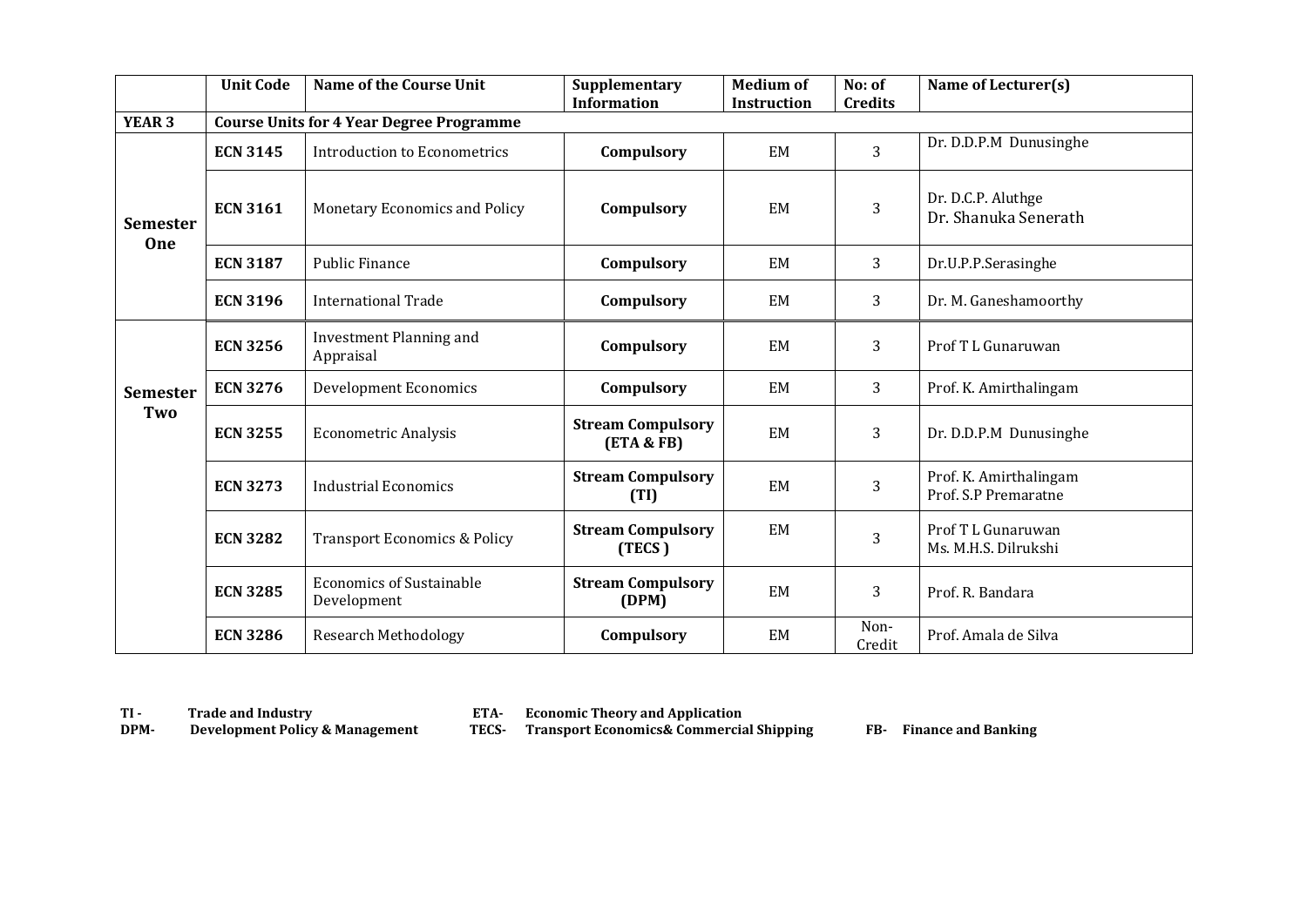|                               | <b>Unit Code</b> | <b>Name of the Course Unit</b>                  | Supplementary<br><b>Information</b>    | <b>Medium of</b><br><b>Instruction</b> | No: of<br><b>Credits</b> | Name of Lecturer(s)                            |
|-------------------------------|------------------|-------------------------------------------------|----------------------------------------|----------------------------------------|--------------------------|------------------------------------------------|
| YEAR <sub>3</sub>             |                  | <b>Course Units for 4 Year Degree Programme</b> |                                        |                                        |                          |                                                |
|                               | <b>ECN 3145</b>  | Introduction to Econometrics                    | Compulsory                             | EM                                     | 3                        | Dr. D.D.P.M Dunusinghe                         |
| <b>Semester</b><br><b>One</b> | <b>ECN 3161</b>  | Monetary Economics and Policy                   | Compulsory                             | EM                                     | 3                        | Dr. D.C.P. Aluthge<br>Dr. Shanuka Senerath     |
|                               | <b>ECN 3187</b>  | <b>Public Finance</b>                           | Compulsory                             | EM                                     | 3                        | Dr.U.P.P.Serasinghe                            |
|                               | <b>ECN 3196</b>  | International Trade                             | Compulsory                             | EM                                     | 3                        | Dr. M. Ganeshamoorthy                          |
|                               | <b>ECN 3256</b>  | Investment Planning and<br>Appraisal            | Compulsory                             | EM                                     | 3                        | Prof T L Gunaruwan                             |
| <b>Semester</b>               | <b>ECN 3276</b>  | <b>Development Economics</b>                    | Compulsory                             | EM                                     | 3                        | Prof. K. Amirthalingam                         |
| Two                           | <b>ECN 3255</b>  | <b>Econometric Analysis</b>                     | <b>Stream Compulsory</b><br>(ETA & FB) | <b>EM</b>                              | 3                        | Dr. D.D.P.M Dunusinghe                         |
|                               | <b>ECN 3273</b>  | <b>Industrial Economics</b>                     | <b>Stream Compulsory</b><br>(TI)       | EM                                     | 3                        | Prof. K. Amirthalingam<br>Prof. S.P Premaratne |
|                               | <b>ECN 3282</b>  | <b>Transport Economics &amp; Policy</b>         | <b>Stream Compulsory</b><br>(TECS)     | EM                                     | 3                        | Prof T L Gunaruwan<br>Ms. M.H.S. Dilrukshi     |
|                               | <b>ECN 3285</b>  | <b>Economics of Sustainable</b><br>Development  | <b>Stream Compulsory</b><br>(DPM)      | EM                                     | 3                        | Prof. R. Bandara                               |
|                               | <b>ECN 3286</b>  | <b>Research Methodology</b>                     | Compulsory                             | <b>EM</b>                              | Non-<br>Credit           | Prof. Amala de Silva                           |

**TI - Trade and Industry 6 ETA-**<br> **DPM-** Development Policy & Management **TECS-**

**Economic Theory and Application<br><b>Transport Economics& Commercial Shipping FB-** Finance and Banking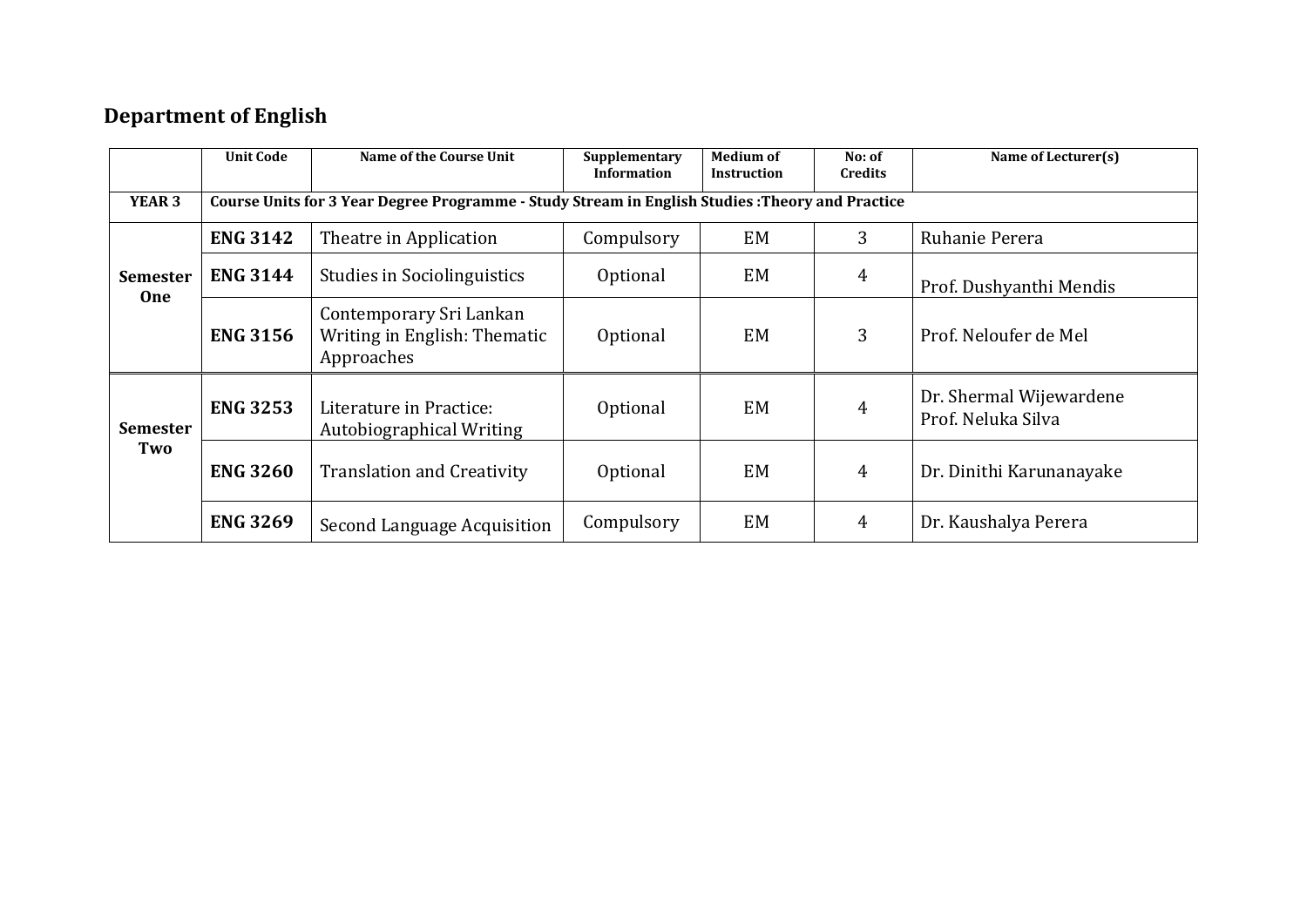## **Department of English**

|                               | <b>Unit Code</b> | <b>Name of the Course Unit</b>                                                                   | Supplementary<br>Information | <b>Medium of</b><br><b>Instruction</b> | No: of<br><b>Credits</b> | Name of Lecturer(s)                           |  |  |  |  |
|-------------------------------|------------------|--------------------------------------------------------------------------------------------------|------------------------------|----------------------------------------|--------------------------|-----------------------------------------------|--|--|--|--|
| YEAR <sub>3</sub>             |                  | Course Units for 3 Year Degree Programme - Study Stream in English Studies : Theory and Practice |                              |                                        |                          |                                               |  |  |  |  |
| <b>Semester</b><br><b>One</b> | <b>ENG 3142</b>  | Theatre in Application                                                                           | Compulsory                   | EM                                     | $\overline{3}$           | Ruhanie Perera                                |  |  |  |  |
|                               | <b>ENG 3144</b>  | <b>Studies in Sociolinguistics</b>                                                               | Optional                     | EM                                     | $\overline{4}$           | Prof. Dushyanthi Mendis                       |  |  |  |  |
|                               | <b>ENG 3156</b>  | Contemporary Sri Lankan<br>Writing in English: Thematic<br>Approaches                            | Optional                     | <b>EM</b>                              | 3                        | Prof. Neloufer de Mel                         |  |  |  |  |
| <b>Semester</b><br>Two        | <b>ENG 3253</b>  | Literature in Practice:<br>Autobiographical Writing                                              | Optional                     | EM                                     | $\overline{4}$           | Dr. Shermal Wijewardene<br>Prof. Neluka Silva |  |  |  |  |
|                               | <b>ENG 3260</b>  | <b>Translation and Creativity</b>                                                                | Optional                     | EM                                     | $\overline{4}$           | Dr. Dinithi Karunanayake                      |  |  |  |  |
|                               | <b>ENG 3269</b>  | Second Language Acquisition                                                                      | Compulsory                   | EM                                     | $\overline{4}$           | Dr. Kaushalya Perera                          |  |  |  |  |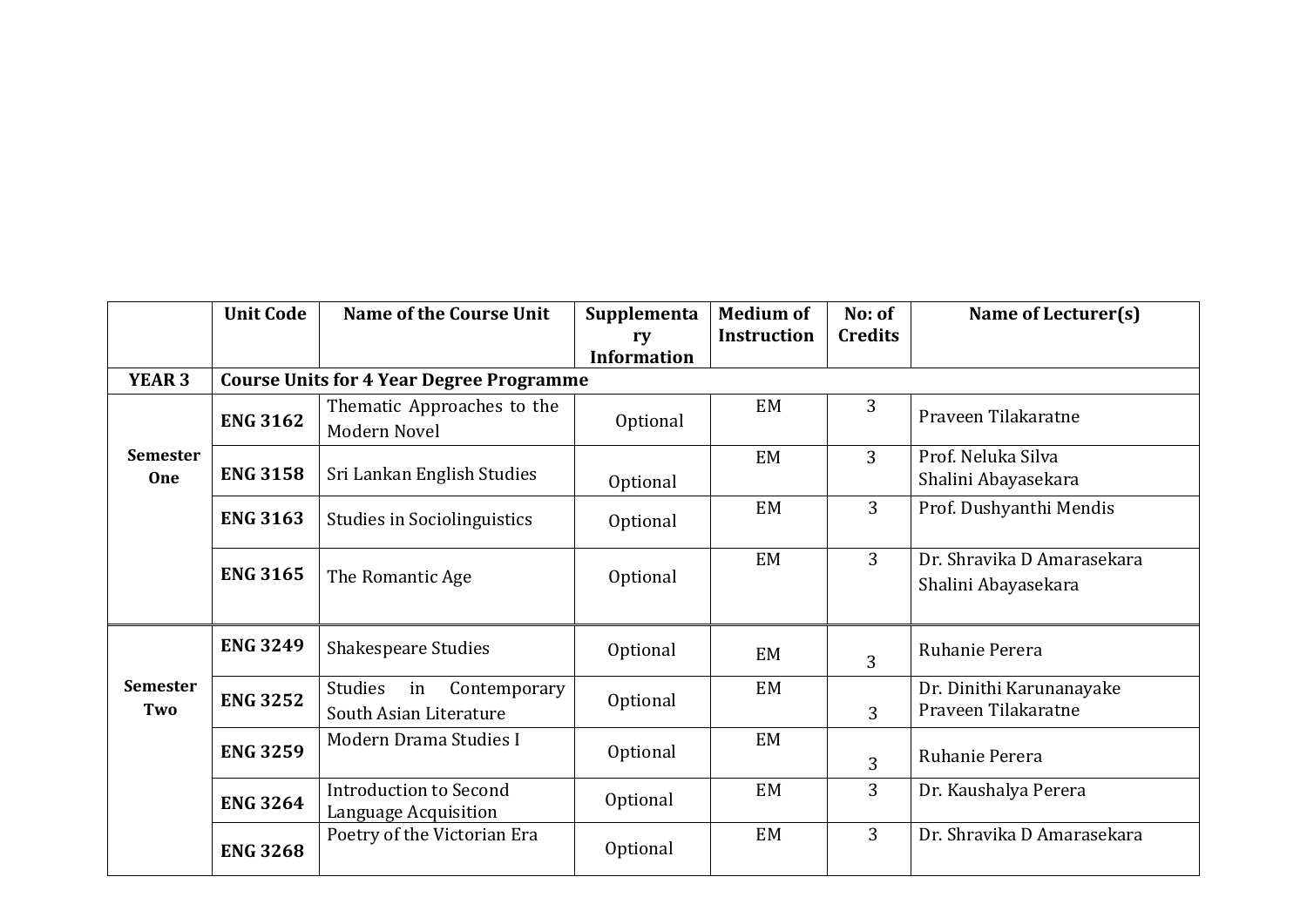|                               | <b>Unit Code</b> | <b>Name of the Course Unit</b>                          | Supplementa<br>rv  | <b>Medium of</b><br><b>Instruction</b> | No: of<br><b>Credits</b> | Name of Lecturer(s)                               |
|-------------------------------|------------------|---------------------------------------------------------|--------------------|----------------------------------------|--------------------------|---------------------------------------------------|
|                               |                  |                                                         | <b>Information</b> |                                        |                          |                                                   |
| <b>YEAR 3</b>                 |                  | <b>Course Units for 4 Year Degree Programme</b>         |                    |                                        |                          |                                                   |
|                               | <b>ENG 3162</b>  | Thematic Approaches to the<br>Modern Novel              | Optional           | EM                                     | 3                        | Praveen Tilakaratne                               |
| <b>Semester</b><br><b>One</b> | <b>ENG 3158</b>  | Sri Lankan English Studies                              | Optional           | EM                                     | 3                        | Prof. Neluka Silva<br>Shalini Abayasekara         |
|                               | <b>ENG 3163</b>  | <b>Studies in Sociolinguistics</b>                      | Optional           | EM                                     | 3                        | Prof. Dushyanthi Mendis                           |
|                               | <b>ENG 3165</b>  | The Romantic Age                                        | Optional           | EM                                     | 3                        | Dr. Shravika D Amarasekara<br>Shalini Abayasekara |
|                               | <b>ENG 3249</b>  | <b>Shakespeare Studies</b>                              | Optional           | <b>EM</b>                              | 3                        | Ruhanie Perera                                    |
| <b>Semester</b><br>Two        | <b>ENG 3252</b>  | Studies<br>Contemporary<br>in<br>South Asian Literature | Optional           | EM                                     | 3                        | Dr. Dinithi Karunanayake<br>Praveen Tilakaratne   |
|                               | <b>ENG 3259</b>  | Modern Drama Studies I                                  | Optional           | EM                                     | 3                        | Ruhanie Perera                                    |
|                               | <b>ENG 3264</b>  | <b>Introduction to Second</b><br>Language Acquisition   | Optional           | EM                                     | 3                        | Dr. Kaushalya Perera                              |
|                               | <b>ENG 3268</b>  | Poetry of the Victorian Era                             | Optional           | EM                                     | 3                        | Dr. Shravika D Amarasekara                        |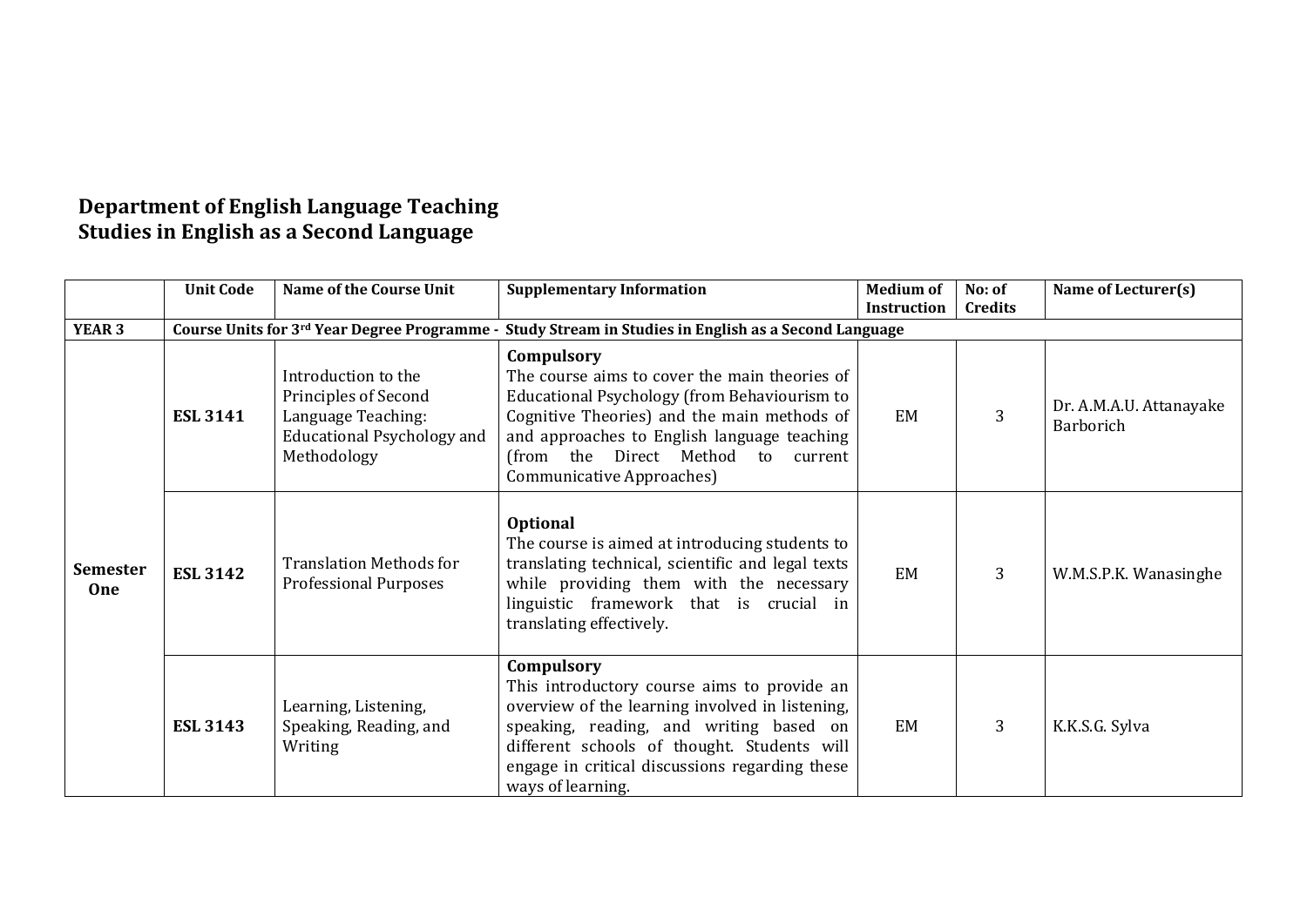#### **Department of English Language Teaching Studies in English as a Second Language**

|                               | <b>Unit Code</b> | <b>Name of the Course Unit</b>                                                                                        | <b>Supplementary Information</b>                                                                                                                                                                                                                                              | <b>Medium of</b>   | No: of         | Name of Lecturer(s)                  |
|-------------------------------|------------------|-----------------------------------------------------------------------------------------------------------------------|-------------------------------------------------------------------------------------------------------------------------------------------------------------------------------------------------------------------------------------------------------------------------------|--------------------|----------------|--------------------------------------|
|                               |                  |                                                                                                                       |                                                                                                                                                                                                                                                                               | <b>Instruction</b> | Credits        |                                      |
| YEAR <sub>3</sub>             |                  |                                                                                                                       | Course Units for 3rd Year Degree Programme - Study Stream in Studies in English as a Second Language                                                                                                                                                                          |                    |                |                                      |
|                               | <b>ESL 3141</b>  | Introduction to the<br>Principles of Second<br>Language Teaching:<br><b>Educational Psychology and</b><br>Methodology | Compulsory<br>The course aims to cover the main theories of<br>Educational Psychology (from Behaviourism to<br>Cognitive Theories) and the main methods of<br>and approaches to English language teaching<br>(from the Direct Method to current<br>Communicative Approaches)  | EM                 | 3              | Dr. A.M.A.U. Attanayake<br>Barborich |
| <b>Semester</b><br><b>One</b> | <b>ESL 3142</b>  | <b>Translation Methods for</b><br><b>Professional Purposes</b>                                                        | <b>Optional</b><br>The course is aimed at introducing students to<br>translating technical, scientific and legal texts<br>while providing them with the necessary<br>linguistic framework that is crucial in<br>translating effectively.                                      | EM                 | $\overline{3}$ | W.M.S.P.K. Wanasinghe                |
|                               | <b>ESL 3143</b>  | Learning, Listening,<br>Speaking, Reading, and<br>Writing                                                             | Compulsory<br>This introductory course aims to provide an<br>overview of the learning involved in listening,<br>speaking, reading, and writing based on<br>different schools of thought. Students will<br>engage in critical discussions regarding these<br>ways of learning. | EM                 | $\overline{3}$ | K.K.S.G. Sylva                       |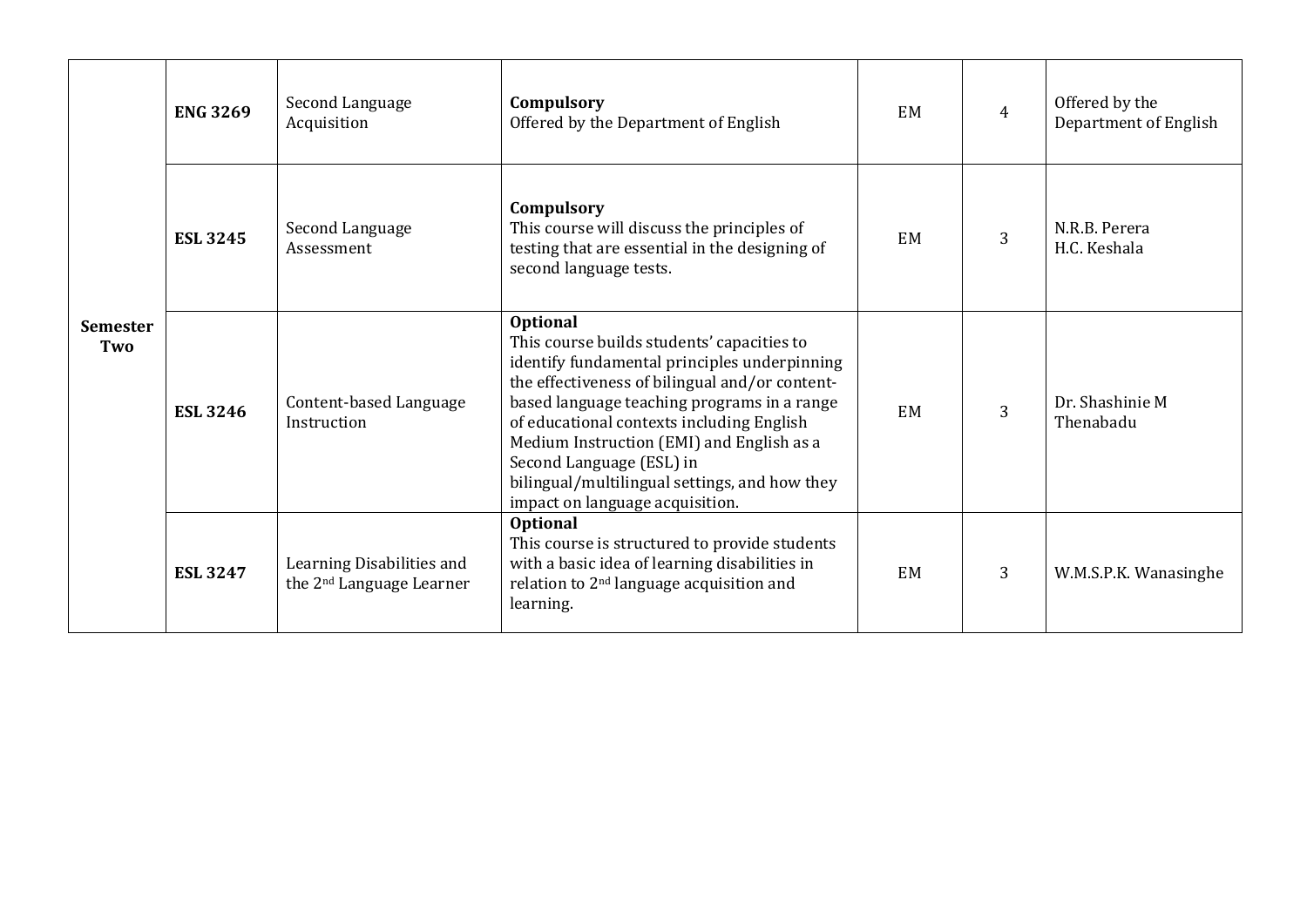| <b>Semester</b><br>Two | <b>ENG 3269</b> | Second Language<br>Acquisition                                    | Compulsory<br>Offered by the Department of English                                                                                                                                                                                                                                                                                                                                                                | EM | $\overline{4}$ | Offered by the<br>Department of English |
|------------------------|-----------------|-------------------------------------------------------------------|-------------------------------------------------------------------------------------------------------------------------------------------------------------------------------------------------------------------------------------------------------------------------------------------------------------------------------------------------------------------------------------------------------------------|----|----------------|-----------------------------------------|
|                        | <b>ESL 3245</b> | Second Language<br>Assessment                                     | Compulsory<br>This course will discuss the principles of<br>testing that are essential in the designing of<br>second language tests.                                                                                                                                                                                                                                                                              | EM | 3              | N.R.B. Perera<br>H.C. Keshala           |
|                        | <b>ESL 3246</b> | Content-based Language<br>Instruction                             | Optional<br>This course builds students' capacities to<br>identify fundamental principles underpinning<br>the effectiveness of bilingual and/or content-<br>based language teaching programs in a range<br>of educational contexts including English<br>Medium Instruction (EMI) and English as a<br>Second Language (ESL) in<br>bilingual/multilingual settings, and how they<br>impact on language acquisition. | EM | 3              | Dr. Shashinie M<br>Thenabadu            |
|                        | <b>ESL 3247</b> | Learning Disabilities and<br>the 2 <sup>nd</sup> Language Learner | <b>Optional</b><br>This course is structured to provide students<br>with a basic idea of learning disabilities in<br>relation to 2 <sup>nd</sup> language acquisition and<br>learning.                                                                                                                                                                                                                            | EM | 3              | W.M.S.P.K. Wanasinghe                   |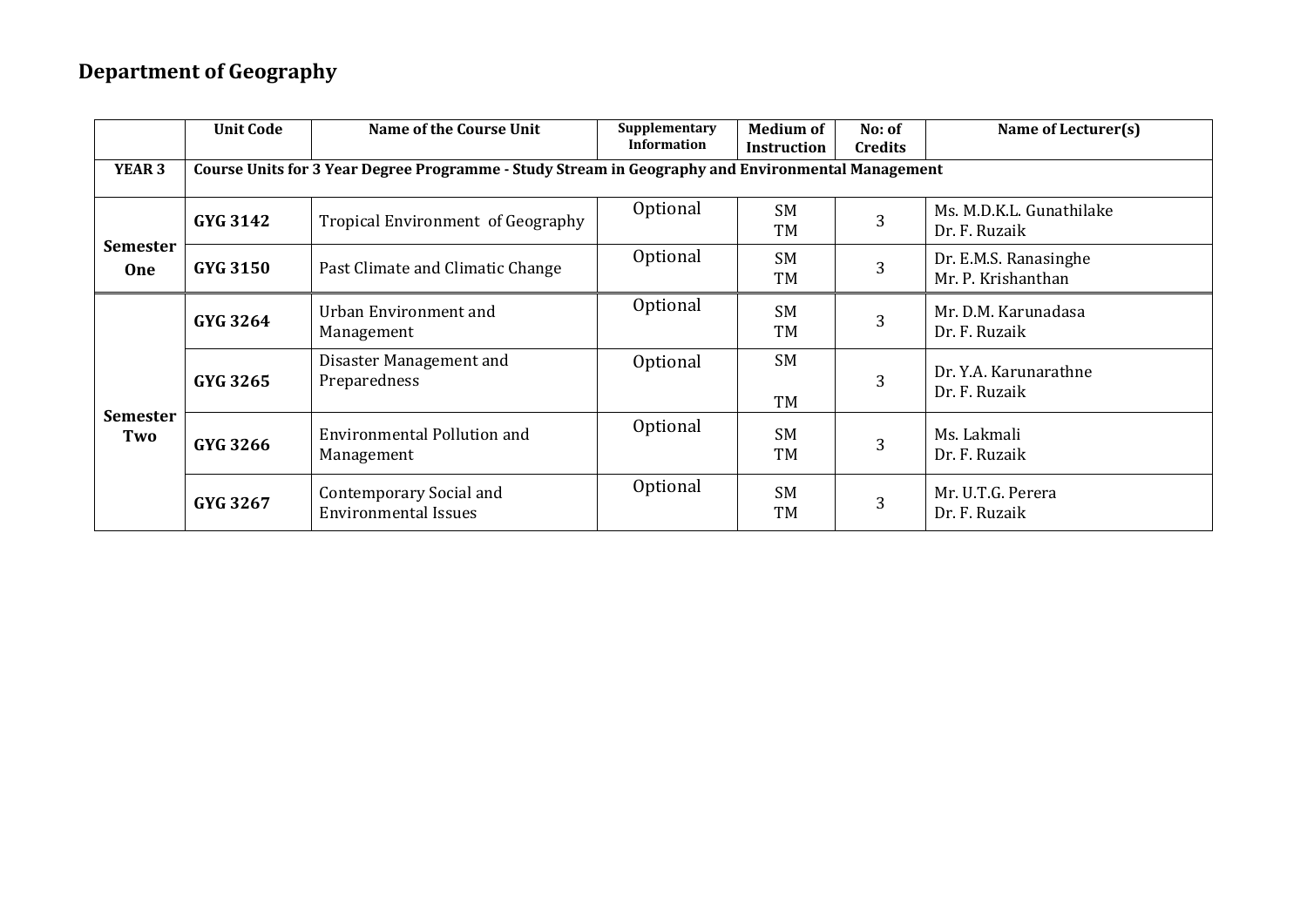## **Department of Geography**

|                               | <b>Unit Code</b>                                                                                  | Name of the Course Unit                                | Supplementary<br><b>Information</b> | <b>Medium of</b><br><b>Instruction</b> | No: of<br><b>Credits</b> | Name of Lecturer(s)                         |  |  |  |
|-------------------------------|---------------------------------------------------------------------------------------------------|--------------------------------------------------------|-------------------------------------|----------------------------------------|--------------------------|---------------------------------------------|--|--|--|
| YEAR <sub>3</sub>             | Course Units for 3 Year Degree Programme - Study Stream in Geography and Environmental Management |                                                        |                                     |                                        |                          |                                             |  |  |  |
|                               | GYG 3142                                                                                          | Tropical Environment of Geography                      | Optional                            | SM<br>TM                               | 3                        | Ms. M.D.K.L. Gunathilake<br>Dr. F. Ruzaik   |  |  |  |
| <b>Semester</b><br><b>One</b> | <b>GYG 3150</b>                                                                                   | Past Climate and Climatic Change                       | Optional                            | SM<br>TM                               | 3                        | Dr. E.M.S. Ranasinghe<br>Mr. P. Krishanthan |  |  |  |
| <b>Semester</b><br>Two        | <b>GYG 3264</b>                                                                                   | Urban Environment and<br>Management                    | Optional                            | <b>SM</b><br>TM                        | 3                        | Mr. D.M. Karunadasa<br>Dr. F. Ruzaik        |  |  |  |
|                               | GYG 3265                                                                                          | Disaster Management and<br>Preparedness                | Optional                            | SM<br>TM                               | 3                        | Dr. Y.A. Karunarathne<br>Dr. F. Ruzaik      |  |  |  |
|                               | GYG 3266                                                                                          | <b>Environmental Pollution and</b><br>Management       | Optional                            | <b>SM</b><br>TM                        | 3                        | Ms. Lakmali<br>Dr. F. Ruzaik                |  |  |  |
|                               | GYG 3267                                                                                          | Contemporary Social and<br><b>Environmental Issues</b> | Optional                            | <b>SM</b><br>TM                        | 3                        | Mr. U.T.G. Perera<br>Dr. F. Ruzaik          |  |  |  |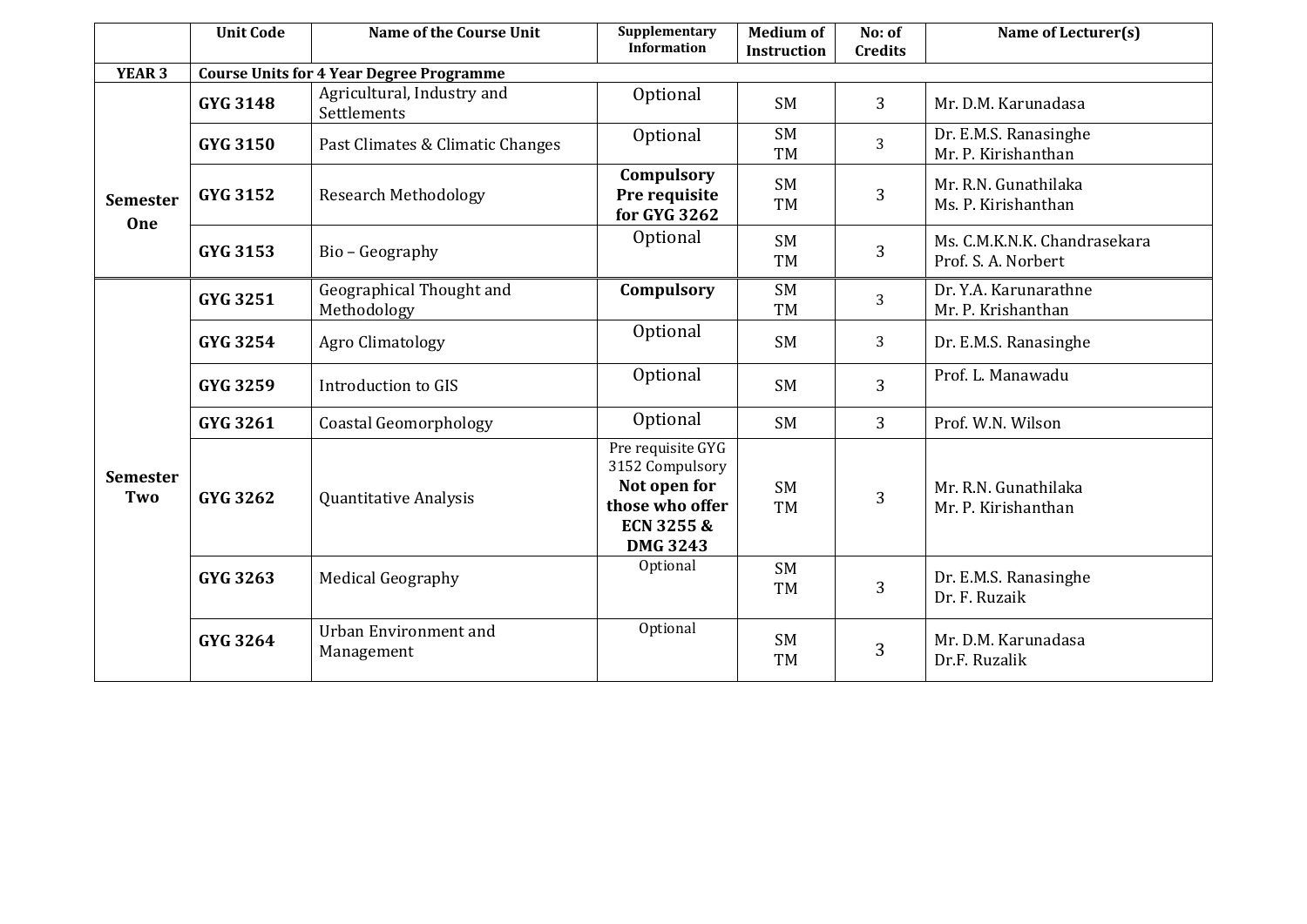|                               | <b>Unit Code</b> | <b>Name of the Course Unit</b>                  | Supplementary<br><b>Medium of</b><br>No: of<br><b>Information</b><br><b>Instruction</b><br><b>Credits</b> |                        | Name of Lecturer(s) |                                                     |
|-------------------------------|------------------|-------------------------------------------------|-----------------------------------------------------------------------------------------------------------|------------------------|---------------------|-----------------------------------------------------|
| <b>YEAR 3</b>                 |                  | <b>Course Units for 4 Year Degree Programme</b> |                                                                                                           |                        |                     |                                                     |
|                               | <b>GYG 3148</b>  | Agricultural, Industry and<br>Settlements       | Optional                                                                                                  | <b>SM</b>              | 3                   | Mr. D.M. Karunadasa                                 |
| <b>Semester</b><br><b>One</b> | <b>GYG 3150</b>  | Past Climates & Climatic Changes                | Optional                                                                                                  | <b>SM</b><br><b>TM</b> | 3                   | Dr. E.M.S. Ranasinghe<br>Mr. P. Kirishanthan        |
|                               | <b>GYG 3152</b>  | <b>Research Methodology</b>                     | Compulsory<br>Pre requisite<br>for GYG 3262                                                               | <b>SM</b><br><b>TM</b> | 3                   | Mr. R.N. Gunathilaka<br>Ms. P. Kirishanthan         |
|                               | GYG 3153         | Bio - Geography                                 | Optional                                                                                                  | <b>SM</b><br><b>TM</b> | 3                   | Ms. C.M.K.N.K. Chandrasekara<br>Prof. S. A. Norbert |
|                               | <b>GYG 3251</b>  | Geographical Thought and<br>Methodology         | Compulsory                                                                                                | <b>SM</b><br><b>TM</b> | 3                   | Dr. Y.A. Karunarathne<br>Mr. P. Krishanthan         |
|                               | GYG 3254         | Agro Climatology                                | Optional                                                                                                  | <b>SM</b>              | 3                   | Dr. E.M.S. Ranasinghe                               |
|                               | GYG 3259         | Introduction to GIS                             | Optional                                                                                                  | <b>SM</b>              | 3                   | Prof. L. Manawadu                                   |
|                               | GYG 3261         | <b>Coastal Geomorphology</b>                    | Optional                                                                                                  | <b>SM</b>              | 3                   | Prof. W.N. Wilson                                   |
| <b>Semester</b><br>Two        | <b>GYG 3262</b>  | Quantitative Analysis                           | Pre requisite GYG<br>3152 Compulsory<br>Not open for<br>those who offer<br>ECN 3255 &<br><b>DMG 3243</b>  | <b>SM</b><br><b>TM</b> | 3                   | Mr. R.N. Gunathilaka<br>Mr. P. Kirishanthan         |
|                               | GYG 3263         | <b>Medical Geography</b>                        | Optional                                                                                                  | <b>SM</b><br><b>TM</b> | 3                   | Dr. E.M.S. Ranasinghe<br>Dr. F. Ruzaik              |
|                               | <b>GYG 3264</b>  | <b>Urban Environment and</b><br>Management      | Optional                                                                                                  | <b>SM</b><br><b>TM</b> | 3                   | Mr. D.M. Karunadasa<br>Dr.F. Ruzalik                |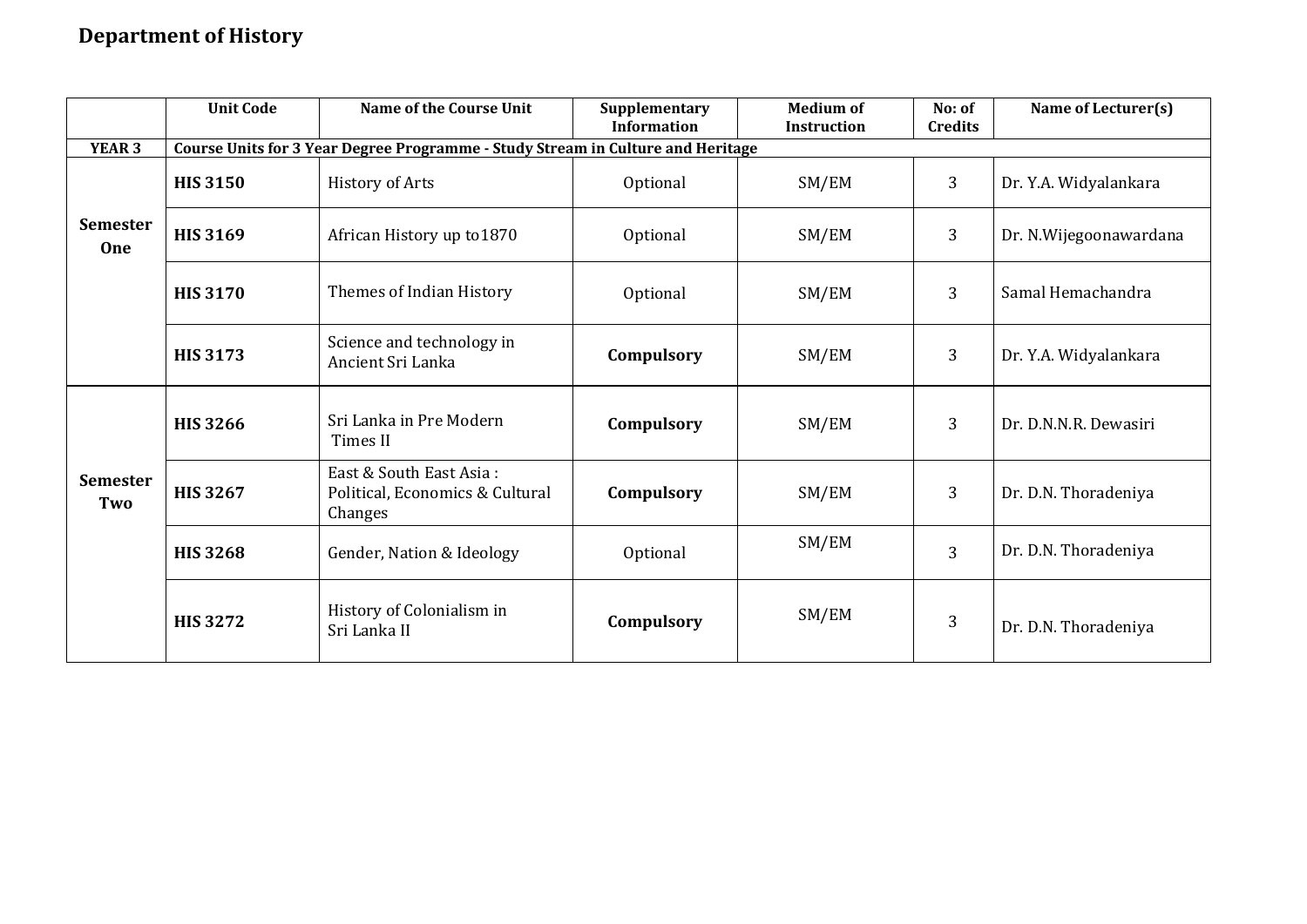## **Department of History**

|                               | <b>Unit Code</b> | <b>Name of the Course Unit</b>                                                  | Supplementary<br><b>Information</b> | <b>Medium of</b><br><b>Instruction</b> | No: of<br><b>Credits</b> | Name of Lecturer(s)    |
|-------------------------------|------------------|---------------------------------------------------------------------------------|-------------------------------------|----------------------------------------|--------------------------|------------------------|
| YEAR <sub>3</sub>             |                  | Course Units for 3 Year Degree Programme - Study Stream in Culture and Heritage |                                     |                                        |                          |                        |
|                               | <b>HIS 3150</b>  | <b>History of Arts</b>                                                          | Optional                            | SM/EM                                  | 3                        | Dr. Y.A. Widyalankara  |
| <b>Semester</b><br><b>One</b> | <b>HIS 3169</b>  | African History up to 1870                                                      | Optional                            | SM/EM                                  | 3                        | Dr. N.Wijegoonawardana |
|                               | <b>HIS 3170</b>  | Themes of Indian History                                                        | Optional                            | SM/EM                                  | 3                        | Samal Hemachandra      |
|                               | <b>HIS 3173</b>  | Science and technology in<br>Ancient Sri Lanka                                  | Compulsory                          | SM/EM                                  | 3                        | Dr. Y.A. Widyalankara  |
|                               | <b>HIS 3266</b>  | Sri Lanka in Pre Modern<br>Times II                                             | Compulsory                          | SM/EM                                  | 3                        | Dr. D.N.N.R. Dewasiri  |
| <b>Semester</b><br>Two        | <b>HIS 3267</b>  | East & South East Asia:<br>Political, Economics & Cultural<br>Changes           | Compulsory                          | SM/EM                                  | 3                        | Dr. D.N. Thoradeniya   |
|                               | <b>HIS 3268</b>  | Gender, Nation & Ideology                                                       | Optional                            | SM/EM                                  | 3                        | Dr. D.N. Thoradeniya   |
|                               | <b>HIS 3272</b>  | History of Colonialism in<br>Sri Lanka II                                       | Compulsory                          | SM/EM                                  | 3                        | Dr. D.N. Thoradeniya   |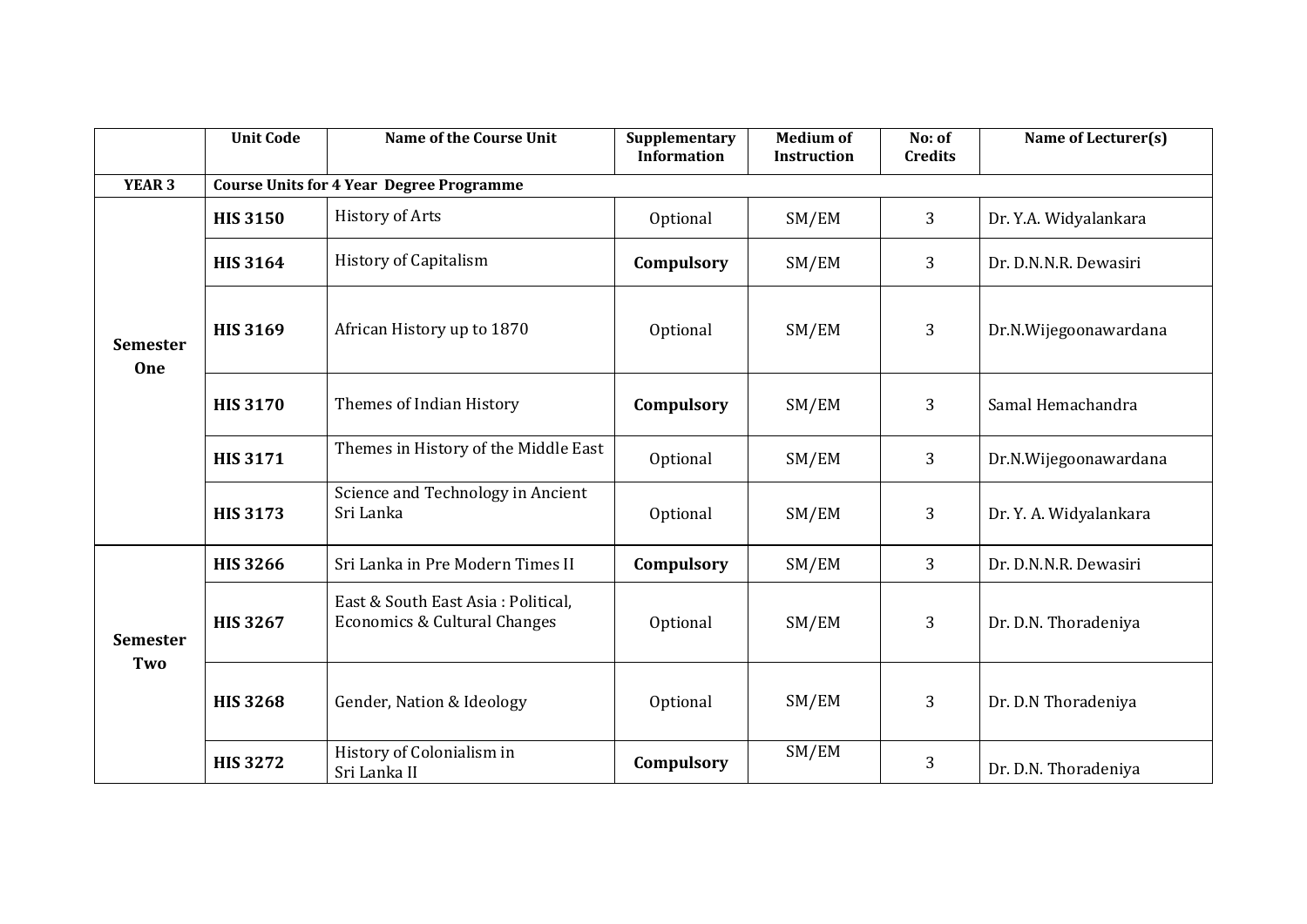|                        | <b>Unit Code</b> | <b>Name of the Course Unit</b>                                     | Supplementary<br><b>Information</b> | <b>Medium of</b><br>Instruction | No: of<br><b>Credits</b> | Name of Lecturer(s)    |
|------------------------|------------------|--------------------------------------------------------------------|-------------------------------------|---------------------------------|--------------------------|------------------------|
| <b>YEAR 3</b>          |                  | <b>Course Units for 4 Year Degree Programme</b>                    |                                     |                                 |                          |                        |
|                        | <b>HIS 3150</b>  | <b>History of Arts</b>                                             | Optional                            | SM/EM                           | 3                        | Dr. Y.A. Widyalankara  |
|                        | <b>HIS 3164</b>  | <b>History of Capitalism</b>                                       | Compulsory                          | SM/EM                           | 3                        | Dr. D.N.N.R. Dewasiri  |
| <b>Semester</b><br>One | <b>HIS 3169</b>  | African History up to 1870                                         | Optional                            | SM/EM                           | 3                        | Dr.N.Wijegoonawardana  |
|                        | <b>HIS 3170</b>  | Themes of Indian History                                           | Compulsory                          | SM/EM                           | 3                        | Samal Hemachandra      |
|                        | <b>HIS 3171</b>  | Themes in History of the Middle East                               | Optional                            | SM/EM                           | 3                        | Dr.N.Wijegoonawardana  |
|                        | <b>HIS 3173</b>  | Science and Technology in Ancient<br>Sri Lanka                     | Optional                            | SM/EM                           | 3                        | Dr. Y. A. Widyalankara |
|                        | <b>HIS 3266</b>  | Sri Lanka in Pre Modern Times II                                   | Compulsory                          | SM/EM                           | 3                        | Dr. D.N.N.R. Dewasiri  |
| <b>Semester</b><br>Two | <b>HIS 3267</b>  | East & South East Asia: Political,<br>Economics & Cultural Changes | Optional                            | SM/EM                           | 3                        | Dr. D.N. Thoradeniya   |
|                        | <b>HIS 3268</b>  | Gender, Nation & Ideology                                          | Optional                            | SM/EM                           | 3                        | Dr. D.N Thoradeniya    |
|                        | <b>HIS 3272</b>  | History of Colonialism in<br>Sri Lanka II                          | Compulsory                          | SM/EM                           | 3                        | Dr. D.N. Thoradeniya   |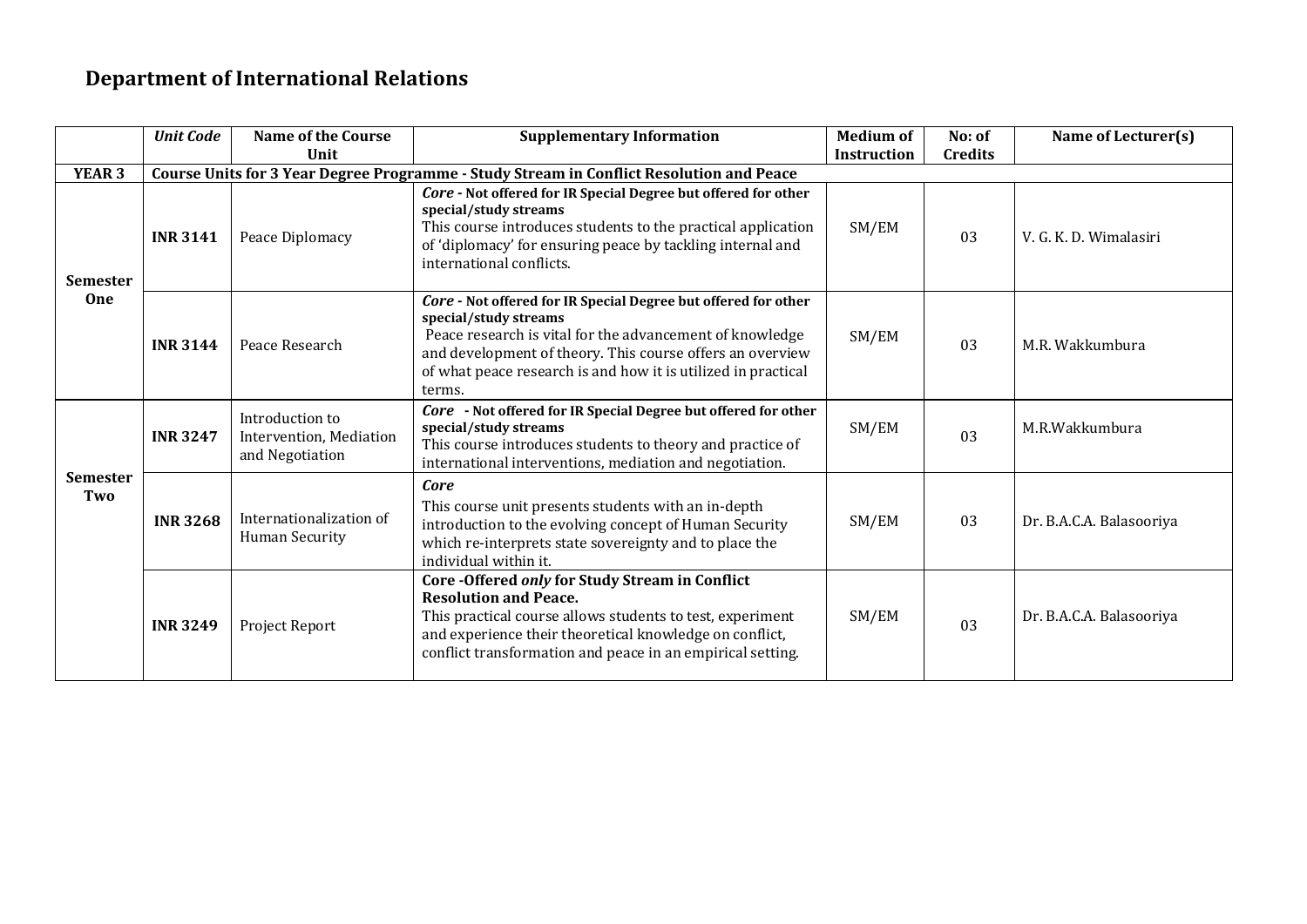## **Department of International Relations**

|                        | <b>Unit Code</b> | <b>Name of the Course</b><br>Unit                             | <b>Supplementary Information</b>                                                                                                                                                                                                                                                            | <b>Medium of</b><br><b>Instruction</b> | No: of<br><b>Credits</b> | Name of Lecturer(s)      |
|------------------------|------------------|---------------------------------------------------------------|---------------------------------------------------------------------------------------------------------------------------------------------------------------------------------------------------------------------------------------------------------------------------------------------|----------------------------------------|--------------------------|--------------------------|
| <b>YEAR 3</b>          |                  |                                                               | Course Units for 3 Year Degree Programme - Study Stream in Conflict Resolution and Peace                                                                                                                                                                                                    |                                        |                          |                          |
| <b>Semester</b><br>One | <b>INR 3141</b>  | Peace Diplomacy                                               | Core - Not offered for IR Special Degree but offered for other<br>special/study streams<br>This course introduces students to the practical application<br>of 'diplomacy' for ensuring peace by tackling internal and<br>international conflicts.                                           | SM/EM                                  | 03                       | V. G. K. D. Wimalasiri   |
|                        | <b>INR 3144</b>  | Peace Research                                                | Core - Not offered for IR Special Degree but offered for other<br>special/study streams<br>Peace research is vital for the advancement of knowledge<br>and development of theory. This course offers an overview<br>of what peace research is and how it is utilized in practical<br>terms. | SM/EM                                  | 03                       | M.R. Wakkumbura          |
| <b>Semester</b><br>Two | <b>INR 3247</b>  | Introduction to<br>Intervention, Mediation<br>and Negotiation | Core - Not offered for IR Special Degree but offered for other<br>special/study streams<br>This course introduces students to theory and practice of<br>international interventions, mediation and negotiation.                                                                             | SM/EM                                  | 03                       | M.R.Wakkumbura           |
|                        | <b>INR3268</b>   | Internationalization of<br>Human Security                     | Core<br>This course unit presents students with an in-depth<br>introduction to the evolving concept of Human Security<br>which re-interprets state sovereignty and to place the<br>individual within it.                                                                                    | SM/EM                                  | 03                       | Dr. B.A.C.A. Balasooriya |
|                        | <b>INR 3249</b>  | Project Report                                                | Core -Offered only for Study Stream in Conflict<br><b>Resolution and Peace.</b><br>This practical course allows students to test, experiment<br>and experience their theoretical knowledge on conflict,<br>conflict transformation and peace in an empirical setting.                       | SM/EM                                  | 03                       | Dr. B.A.C.A. Balasooriya |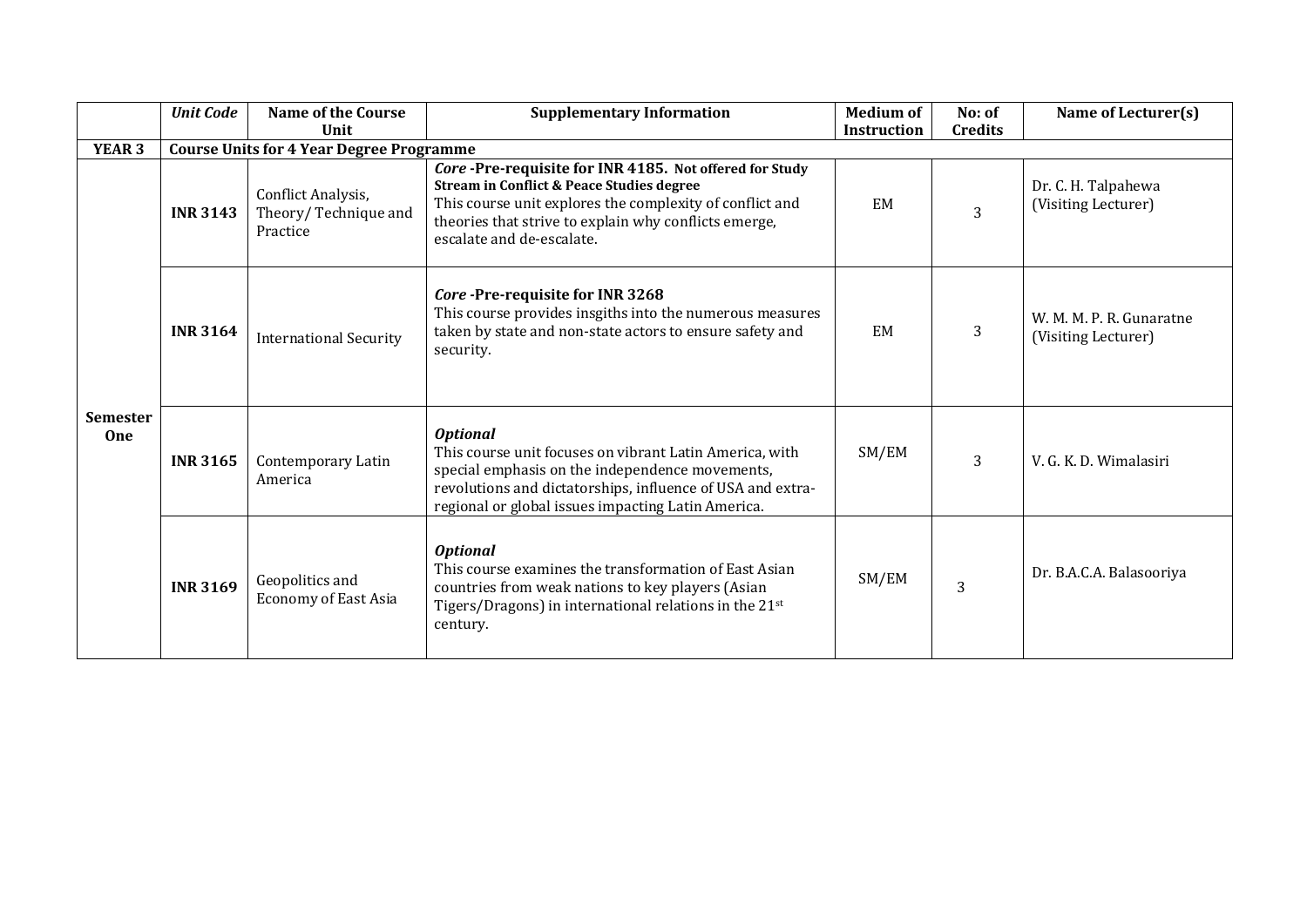|                               | <b>Unit Code</b> | <b>Name of the Course</b>                              | <b>Supplementary Information</b>                                                                                                                                                                                                                                 | <b>Medium of</b>   | No: of         | Name of Lecturer(s)                             |
|-------------------------------|------------------|--------------------------------------------------------|------------------------------------------------------------------------------------------------------------------------------------------------------------------------------------------------------------------------------------------------------------------|--------------------|----------------|-------------------------------------------------|
|                               |                  | Unit                                                   |                                                                                                                                                                                                                                                                  | <b>Instruction</b> | <b>Credits</b> |                                                 |
| <b>YEAR 3</b>                 |                  | <b>Course Units for 4 Year Degree Programme</b>        |                                                                                                                                                                                                                                                                  |                    |                |                                                 |
| <b>Semester</b><br><b>One</b> | <b>INR 3143</b>  | Conflict Analysis,<br>Theory/Technique and<br>Practice | Core-Pre-requisite for INR 4185. Not offered for Study<br><b>Stream in Conflict &amp; Peace Studies degree</b><br>This course unit explores the complexity of conflict and<br>theories that strive to explain why conflicts emerge,<br>escalate and de-escalate. | EM                 | 3              | Dr. C. H. Talpahewa<br>(Visiting Lecturer)      |
|                               | <b>INR 3164</b>  | <b>International Security</b>                          | Core-Pre-requisite for INR 3268<br>This course provides insgiths into the numerous measures<br>taken by state and non-state actors to ensure safety and<br>security.                                                                                             | EM                 | 3              | W. M. M. P. R. Gunaratne<br>(Visiting Lecturer) |
|                               | <b>INR 3165</b>  | Contemporary Latin<br>America                          | <b>Optional</b><br>This course unit focuses on vibrant Latin America, with<br>special emphasis on the independence movements,<br>revolutions and dictatorships, influence of USA and extra-<br>regional or global issues impacting Latin America.                | SM/EM              | 3              | V. G. K. D. Wimalasiri                          |
|                               | <b>INR 3169</b>  | Geopolitics and<br><b>Economy of East Asia</b>         | <b>Optional</b><br>This course examines the transformation of East Asian<br>countries from weak nations to key players (Asian<br>Tigers/Dragons) in international relations in the 21 <sup>st</sup><br>century.                                                  | SM/EM              | 3              | Dr. B.A.C.A. Balasooriya                        |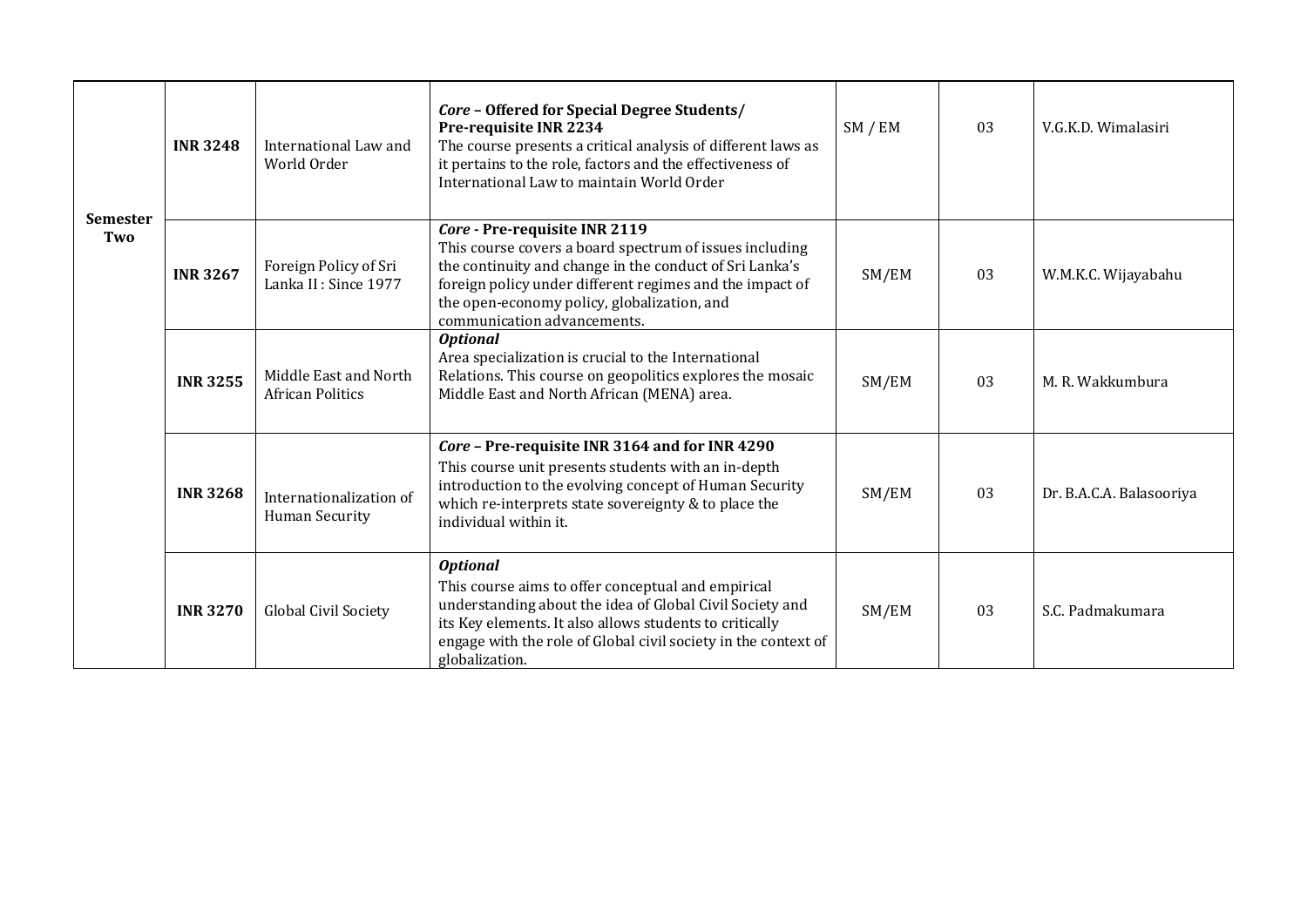|                        | <b>INR3248</b>                                                      | International Law and<br>World Order             | Core - Offered for Special Degree Students/<br>Pre-requisite INR 2234<br>The course presents a critical analysis of different laws as<br>it pertains to the role, factors and the effectiveness of<br>International Law to maintain World Order                                               | SM / EM | 03 | V.G.K.D. Wimalasiri      |
|------------------------|---------------------------------------------------------------------|--------------------------------------------------|-----------------------------------------------------------------------------------------------------------------------------------------------------------------------------------------------------------------------------------------------------------------------------------------------|---------|----|--------------------------|
| <b>Semester</b><br>Two | <b>INR3267</b>                                                      | Foreign Policy of Sri<br>Lanka II : Since 1977   | Core - Pre-requisite INR 2119<br>This course covers a board spectrum of issues including<br>the continuity and change in the conduct of Sri Lanka's<br>foreign policy under different regimes and the impact of<br>the open-economy policy, globalization, and<br>communication advancements. | SM/EM   | 03 | W.M.K.C. Wijayabahu      |
|                        | Middle East and North<br><b>INR 3255</b><br><b>African Politics</b> |                                                  | <b>Optional</b><br>Area specialization is crucial to the International<br>Relations. This course on geopolitics explores the mosaic<br>Middle East and North African (MENA) area.                                                                                                             | SM/EM   | 03 | M. R. Wakkumbura         |
|                        | <b>INR 3268</b>                                                     | Internationalization of<br><b>Human Security</b> | Core - Pre-requisite INR 3164 and for INR 4290<br>This course unit presents students with an in-depth<br>introduction to the evolving concept of Human Security<br>which re-interprets state sovereignty & to place the<br>individual within it.                                              | SM/EM   | 03 | Dr. B.A.C.A. Balasooriya |
|                        | <b>INR 3270</b>                                                     | Global Civil Society                             | <b>Optional</b><br>This course aims to offer conceptual and empirical<br>understanding about the idea of Global Civil Society and<br>its Key elements. It also allows students to critically<br>engage with the role of Global civil society in the context of<br>globalization.              | SM/EM   | 03 | S.C. Padmakumara         |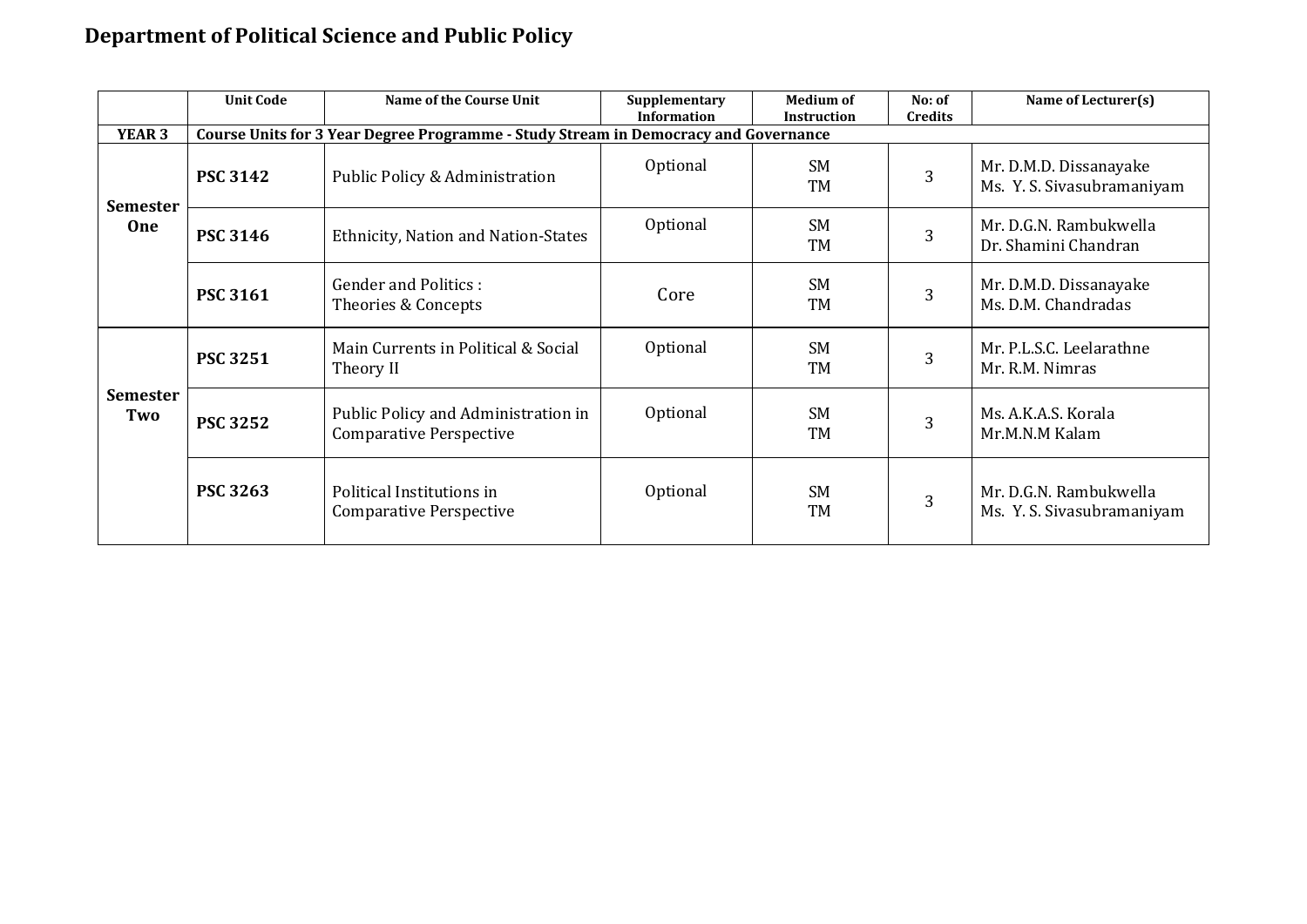## **Department of Political Science and Public Policy**

|                               | <b>Unit Code</b> | Name of the Course Unit                                                             | Supplementary<br><b>Information</b> | <b>Medium of</b><br><b>Instruction</b> | No: of<br><b>Credits</b> | Name of Lecturer(s)                                  |  |  |  |  |
|-------------------------------|------------------|-------------------------------------------------------------------------------------|-------------------------------------|----------------------------------------|--------------------------|------------------------------------------------------|--|--|--|--|
| <b>YEAR 3</b>                 |                  | Course Units for 3 Year Degree Programme - Study Stream in Democracy and Governance |                                     |                                        |                          |                                                      |  |  |  |  |
| <b>Semester</b><br><b>One</b> | <b>PSC 3142</b>  | Public Policy & Administration                                                      | Optional                            | <b>SM</b><br><b>TM</b>                 | 3                        | Mr. D.M.D. Dissanayake<br>Ms. Y. S. Sivasubramaniyam |  |  |  |  |
|                               | <b>PSC 3146</b>  | Ethnicity, Nation and Nation-States                                                 | Optional                            | <b>SM</b><br>TM                        | 3                        | Mr. D.G.N. Rambukwella<br>Dr. Shamini Chandran       |  |  |  |  |
|                               | <b>PSC 3161</b>  | <b>Gender and Politics:</b><br>Theories & Concepts                                  | Core                                | <b>SM</b><br><b>TM</b>                 | 3                        | Mr. D.M.D. Dissanayake<br>Ms. D.M. Chandradas        |  |  |  |  |
| <b>Semester</b><br>Two        | <b>PSC 3251</b>  | Main Currents in Political & Social<br>Theory II                                    | Optional                            | <b>SM</b><br>TM                        | 3                        | Mr. P.L.S.C. Leelarathne<br>Mr. R.M. Nimras          |  |  |  |  |
|                               | <b>PSC 3252</b>  | Public Policy and Administration in<br><b>Comparative Perspective</b>               | Optional                            | <b>SM</b><br>TM                        | 3                        | Ms. A.K.A.S. Korala<br>Mr.M.N.M Kalam                |  |  |  |  |
|                               | <b>PSC 3263</b>  | Political Institutions in<br><b>Comparative Perspective</b>                         | Optional                            | <b>SM</b><br><b>TM</b>                 | 3                        | Mr. D.G.N. Rambukwella<br>Ms. Y. S. Sivasubramaniyam |  |  |  |  |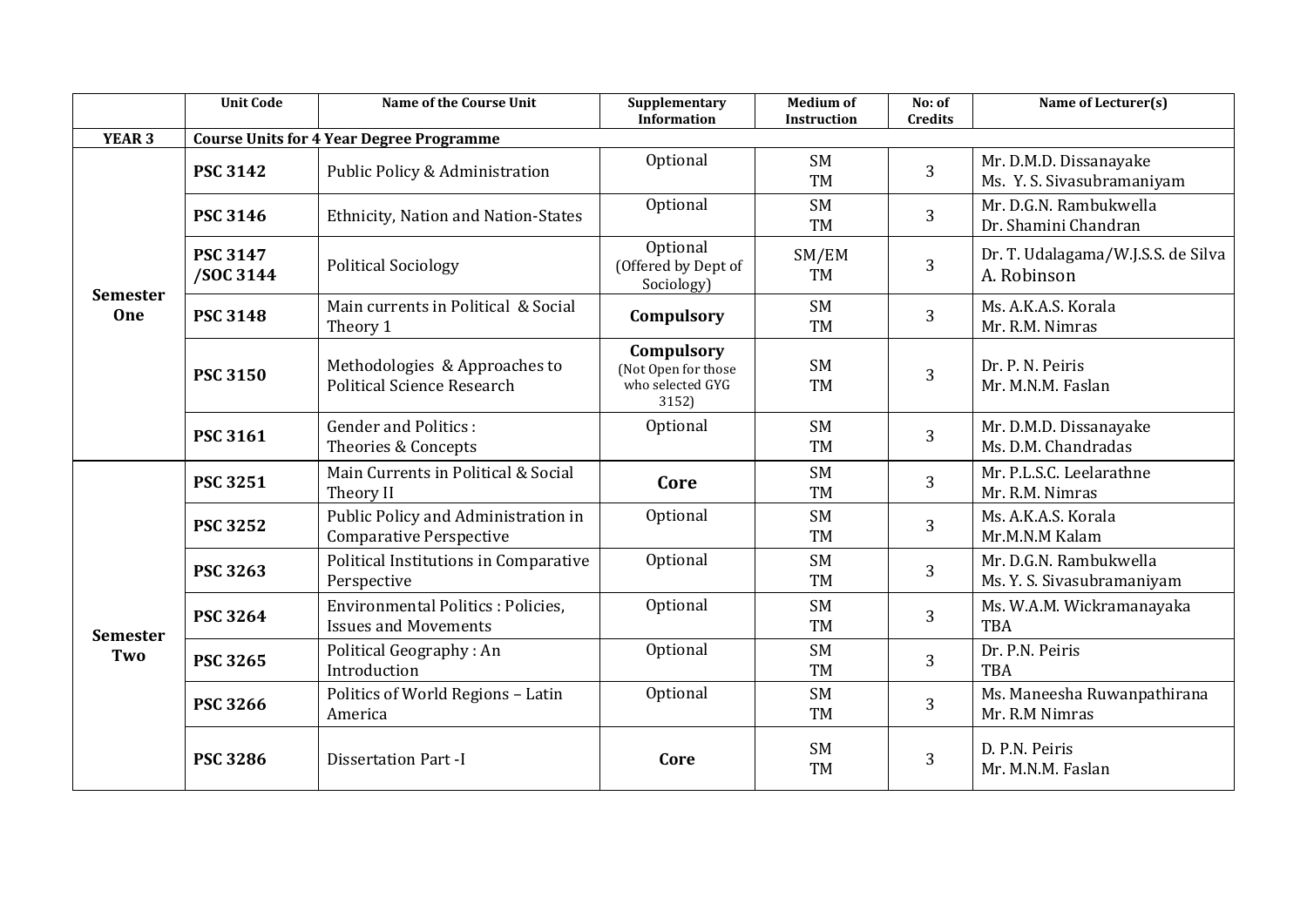|                        | <b>Unit Code</b>             | <b>Name of the Course Unit</b>                                          | Supplementary<br><b>Information</b>                            | <b>Medium of</b><br><b>Instruction</b> | No: of<br><b>Credits</b> | Name of Lecturer(s)                                  |
|------------------------|------------------------------|-------------------------------------------------------------------------|----------------------------------------------------------------|----------------------------------------|--------------------------|------------------------------------------------------|
| <b>YEAR 3</b>          |                              | <b>Course Units for 4 Year Degree Programme</b>                         |                                                                |                                        |                          |                                                      |
|                        | <b>PSC 3142</b>              | Public Policy & Administration                                          | Optional                                                       | <b>SM</b><br><b>TM</b>                 | 3                        | Mr. D.M.D. Dissanayake<br>Ms. Y. S. Sivasubramaniyam |
|                        | <b>PSC 3146</b>              | Ethnicity, Nation and Nation-States                                     | Optional                                                       | <b>SM</b><br><b>TM</b>                 | $\overline{3}$           | Mr. D.G.N. Rambukwella<br>Dr. Shamini Chandran       |
|                        | <b>PSC 3147</b><br>/SOC 3144 | <b>Political Sociology</b>                                              | Optional<br>(Offered by Dept of<br>Sociology)                  | SM/EM<br><b>TM</b>                     | 3                        | Dr. T. Udalagama/W.J.S.S. de Silva<br>A. Robinson    |
| <b>Semester</b><br>One | <b>PSC 3148</b>              | Main currents in Political & Social<br>Theory 1                         | Compulsory                                                     | <b>SM</b><br><b>TM</b>                 | 3                        | Ms. A.K.A.S. Korala<br>Mr. R.M. Nimras               |
|                        | <b>PSC 3150</b>              | Methodologies & Approaches to<br><b>Political Science Research</b>      | Compulsory<br>(Not Open for those<br>who selected GYG<br>3152) | <b>SM</b><br><b>TM</b>                 | 3                        | Dr. P. N. Peiris<br>Mr. M.N.M. Faslan                |
|                        | <b>PSC 3161</b>              | <b>Gender and Politics:</b><br>Theories & Concepts                      | Optional                                                       | <b>SM</b><br><b>TM</b>                 | 3                        | Mr. D.M.D. Dissanayake<br>Ms. D.M. Chandradas        |
|                        | <b>PSC 3251</b>              | Main Currents in Political & Social<br>Theory II                        | Core                                                           | <b>SM</b><br><b>TM</b>                 | 3                        | Mr. P.L.S.C. Leelarathne<br>Mr. R.M. Nimras          |
|                        | <b>PSC 3252</b>              | Public Policy and Administration in<br><b>Comparative Perspective</b>   | Optional                                                       | <b>SM</b><br><b>TM</b>                 | 3                        | Ms. A.K.A.S. Korala<br>Mr.M.N.M Kalam                |
|                        | <b>PSC 3263</b>              | Political Institutions in Comparative<br>Perspective                    | Optional                                                       | <b>SM</b><br><b>TM</b>                 | $\overline{3}$           | Mr. D.G.N. Rambukwella<br>Ms. Y. S. Sivasubramaniyam |
| <b>Semester</b>        | <b>PSC 3264</b>              | <b>Environmental Politics: Policies.</b><br><b>Issues and Movements</b> | Optional                                                       | <b>SM</b><br><b>TM</b>                 | 3                        | Ms. W.A.M. Wickramanayaka<br>TBA                     |
| Two                    | <b>PSC 3265</b>              | Political Geography: An<br>Introduction                                 | Optional                                                       | <b>SM</b><br><b>TM</b>                 | 3                        | Dr. P.N. Peiris<br>TBA                               |
|                        | <b>PSC 3266</b>              | Politics of World Regions - Latin<br>America                            | Optional                                                       | <b>SM</b><br><b>TM</b>                 | $\overline{3}$           | Ms. Maneesha Ruwanpathirana<br>Mr. R.M Nimras        |
|                        | <b>PSC 3286</b>              | <b>Dissertation Part -I</b>                                             | Core                                                           | <b>SM</b><br><b>TM</b>                 | 3                        | D. P.N. Peiris<br>Mr. M.N.M. Faslan                  |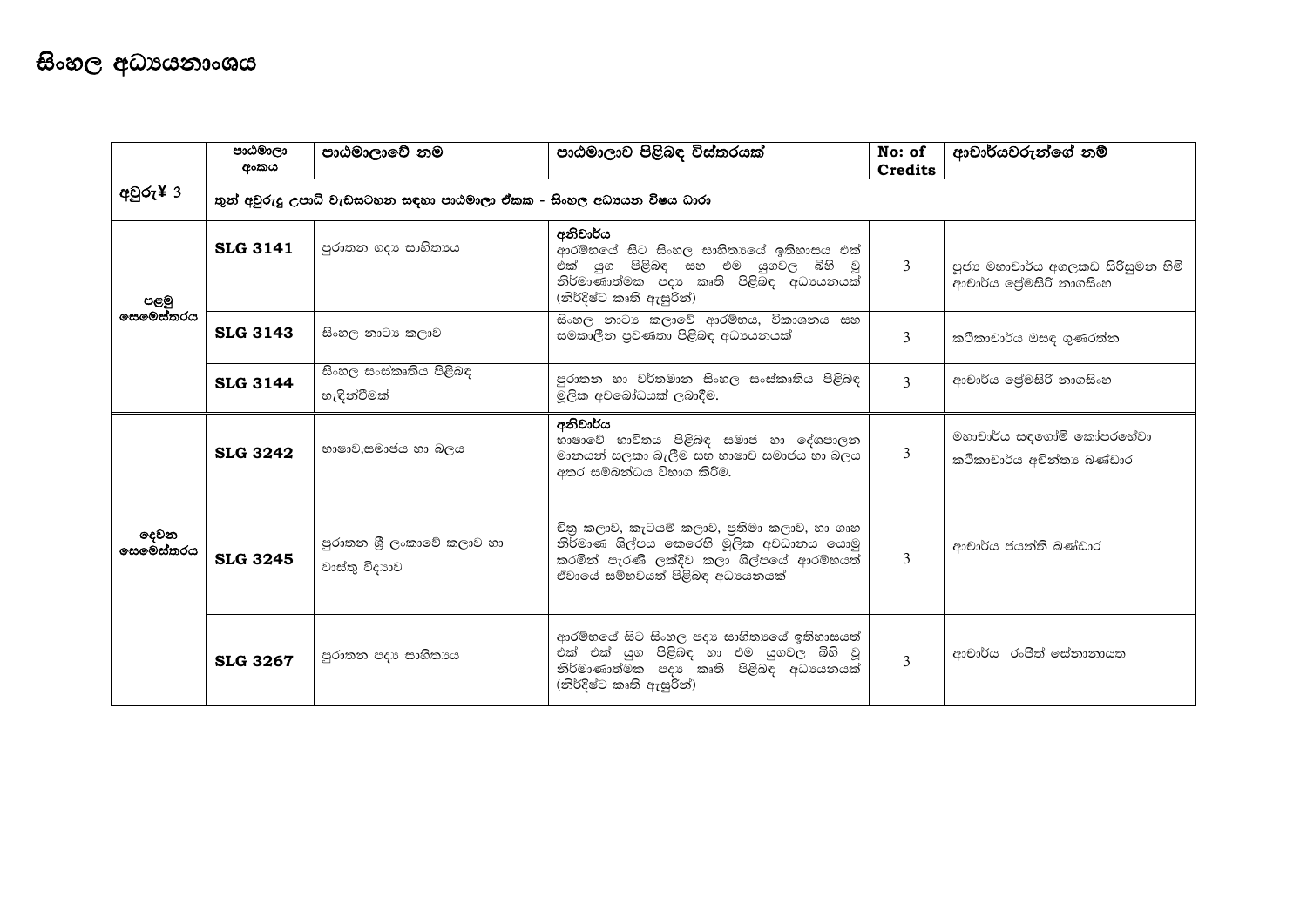|                          | පාඨමාලා<br>අංකය | පාඨමාලාවේ නම                                                         | පාඨමාලාව පිළිබඳ විස්තරයක්                                                                                                                                            | No: of<br><b>Credits</b> | ආචාර්යවරුන්ගේ නම්                                           |
|--------------------------|-----------------|----------------------------------------------------------------------|----------------------------------------------------------------------------------------------------------------------------------------------------------------------|--------------------------|-------------------------------------------------------------|
| අවුරු¥ 3                 |                 | තුන් අවුරුදු උපාධි වැඩසටහන සඳහා පාඨමාලා ඒකක - සිංහල අධාපයන විෂය ධාරා |                                                                                                                                                                      |                          |                                                             |
| පළමු<br>සෙමෙස්තරය        | <b>SLG 3141</b> | පුරාතන ගදා සාහිතායෙ                                                  | අනිවාර්ය<br>ආරම්භයේ සිට සිංහල සාහිතාගේ ඉතිහාසය එක්<br>එක් යුග පිළිබඳ සහ එම යුගවල බිහි වූ<br>නිර්මාණාත්මක පදා කෘති පිළිබිඳ අධාපයනයක්<br>(නිර්දිෂ්ට කෘති ඇසුරින්)      | 3                        | පූජා මහාචාර්ය අගලකඩ සිරිසුමන හිමි<br>ආචාර්ය ලේමසිරි නාගසිංහ |
|                          | <b>SLG 3143</b> | සිංහල නාටා කලාව                                                      | සිංහල නාටා කලාවේ ආරම්භය, විකාශනය සහ<br>සමකාලීන පුවණතා පිළිබඳ අධාපයනයක්                                                                                               | 3                        | කථිකාචාර්ය ඔසඳ ගුණරත්න                                      |
|                          | <b>SLG 3144</b> | සිංහල සංස්කෘතිය පිළිබඳ<br>හැඳින්වීමක්                                | පුරාතන හා වර්තමාන සිංහල සංස්කෘතිය පිළිබඳ<br>මූලික අවබෝධයක් ලබාදීම.                                                                                                   | $\mathcal{L}$            | ආචාර්ය ලේමසිරි නාගසිංහ                                      |
| දෙවන<br><b>සෙමෙස්තරය</b> | <b>SLG 3242</b> | භාෂාව,සමාජය හා බලය                                                   | අනිවාර්ය<br>භාෂාවේ භාවිතය පිළිබඳ සමාජ හා දේශපාලන<br>මානයන් සලකා බැලීම සහ හාෂාව සමාජය හා බලය<br>අතර සම්බන්ධය විභාග කිරීම.                                             | 3                        | මහාචාර්ය සඳගෝමි කෝපරහේවා<br>කථිකාචාර්ය අචිත්තා බණ්ඩාර       |
|                          | <b>SLG 3245</b> | පුරාතන ශී ලංකාවේ කලාව හා<br>වාස්තු විදාහව                            | චිතු කලාව, කැටයම් කලාව, පුතිමා කලාව, හා ගෘහ<br>නිර්මාණ ශිල්පය කෙරෙහි මූලික අවධානය යොමු<br>කරමින් පැරණි ලක්දිව කලා ශිල්පයේ ආරම්භයත්<br>ඒවායේ සම්භවයත් පිළිබඳ අධායනයක් | 3                        | ආචාර්ය ජයන්ති බණ්ඩාර                                        |
|                          | <b>SLG 3267</b> | පුරාතන පදා සාහිතායෙ                                                  | ආරම්භයේ සිට සිංහල පදා සාහිතාගේ ඉතිහාසයත්<br>එක් එක් යුග පිළිබඳ හා එම යුගවල බිහි වූ<br>නිර්මාණාත්මික පදා කෘති පිළිබඳ අධායනයක්<br>(නිර්දිෂ්ට කෘති ඇසුරින්)             | $\mathcal{L}$            | ආචාර්ය රංජිත් සේනානායත                                      |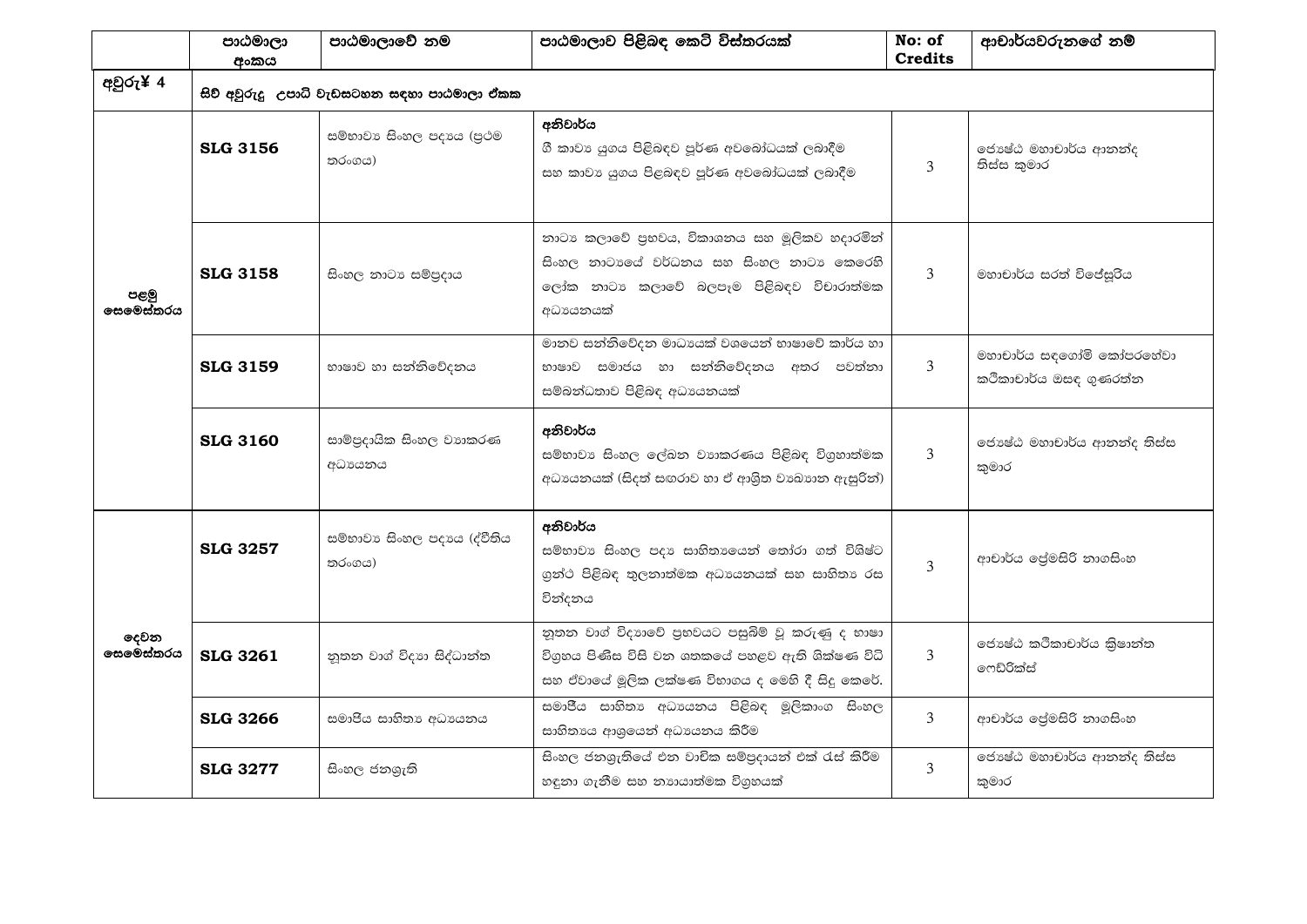|                   | පාඨමාලා<br>අංකය                                                                                                                                                | පාඨමාලාවේ නම                                | පාඨමාලාව පිළිබඳ කෙටි විස්තරයක්                                                                                                                           | No: of<br><b>Credits</b>                           | ආචාර්යවරුනගේ නම්                        |
|-------------------|----------------------------------------------------------------------------------------------------------------------------------------------------------------|---------------------------------------------|----------------------------------------------------------------------------------------------------------------------------------------------------------|----------------------------------------------------|-----------------------------------------|
| අවුරු¥ 4          |                                                                                                                                                                | සිව් අවුරුදු උපාධි වැඩසටහන සඳහා පාඨමාලා ඒකක |                                                                                                                                                          |                                                    |                                         |
| පළමු<br>තරයස්මනෙය | <b>SLG 3156</b>                                                                                                                                                | සම්භාවා සිංහල පදායෙ (පුථම<br>තරංගය)         | අනිවාර්ය<br>ගී කාවා යුගය පිළිබඳව පූර්ණ අවබෝධයක් ලබාදීම<br>සහ කාවා යුගය පිළබඳව පූර්ණ අවබෝධයක් ලබාදීම                                                      | 3                                                  | ජොෂ්ඨ මහාචාර්ය ආනන්ද<br>තිස්ස කුමාර     |
|                   | <b>SLG 3158</b>                                                                                                                                                | සිංහල නාටා සම්පුදාය                         | නාටා කලාවේ පුභවය, විකාශනය සහ මූලිකව හදාරමින්<br>සිංහල නාටාගේ වර්ධනය සහ සිංහල නාටා කෙරෙහි<br>ලෝක නාටා කලාවේ බලපෑම පිළිබඳව විචාරාත්මක<br>අධායෙනයක්         | $\overline{3}$                                     | මහාචාර්ය සරත් විජේසුරිය                 |
|                   | මානව සන්නිවේදන මාධායක් වශයෙන් භාෂාවේ කාර්ය හා<br>භාෂාව හා සන්නිවේදනය<br>භාෂාව සමාජය හා සන්නිවේදනය අතර පවත්තා<br><b>SLG 3159</b><br>සම්බන්ධතාව පිළිබඳ අධාපයනයක් |                                             | 3                                                                                                                                                        | මහාචාර්ය සඳගෝමි කෝපරහේවා<br>කථිකාචාර්ය ඔසඳ ගුණරත්ත |                                         |
|                   | <b>SLG 3160</b>                                                                                                                                                | සාම්පුදායික සිංහල වාහකරණ<br>අධායනය          | අනිවාර්ය<br>සම්භාවා සිංහල ලේඛන වාාකරණය පිළිබඳ විගුහාත්මක<br>අධායනයක් (සිදත් සඟරාව හා ඒ ආශිත වාඛාාන ඇසුරින්)                                              | $\overline{3}$                                     | ජොෂ්ඨ මහාචාර්ය ආනන්ද තිස්ස<br>කමාර      |
|                   | <b>SLG 3257</b>                                                                                                                                                | සම්භාවා සිංහල පදායෙ (ද්වීතිය<br>තරංගය)      | අනිවාර්ය<br>සම්භාවා සිංහල පදා සාහිතාගෙන් තෝරා ගත් විශිෂ්ට<br>ගුන්ථ පිළිබඳ තුලනාත්මක අධායනයක් සහ සාහිතා රස<br>වින්දනය                                     | $\overline{3}$                                     | ආචාර්ය ලේමසිරි නාගසිංහ                  |
| දෙවන<br>෧සමෙස්තරය | <b>SLG 3261</b>                                                                                                                                                | නුතන වාග් විදාහ සිද්ධාන්ත                   | නුතන වාග් විදාහුවේ පුභවයට පසුබිම් වූ කරුණු ද භාෂා<br>විගුහය පිණිස විසි වන ශතකයේ පහළව ඇති ශික්ෂණ විධි<br>සහ ඒවායේ මූලික ලක්ෂණ විභාගය ද මෙහි දී සිදු කෙරේ. | $\mathcal{E}$                                      | ජොෂ්ඨ කථිකාචාර්ය කිුෂාන්ත<br>෧ෆඞ්රික්ස් |
|                   | <b>SLG 3266</b>                                                                                                                                                | සමාජිය සාහිතා අධාපයනය                       | සමාජීය සාහිතා අධාපයනය පිළිබඳ මූලිකාංග සිංහල<br>සාහිතායෙ ආශුයෙන් අධායනය කිරීම                                                                             | $\overline{3}$                                     | ආචාර්ය ලේමසිරි නාගසිංහ                  |
|                   | <b>SLG 3277</b>                                                                                                                                                | සිංහල ජනශුැති                               | සිංහල ජනශුැතියේ එන වාචික සම්පුදායන් එක් රැස් කිරීම<br>හඳුනා ගැනීම සහ නාගයාත්මක විගුහයක්                                                                  | 3                                                  | ජොෂ්ඨ මහාචාර්ය ආනත්ද තිස්ස<br>කුමාර     |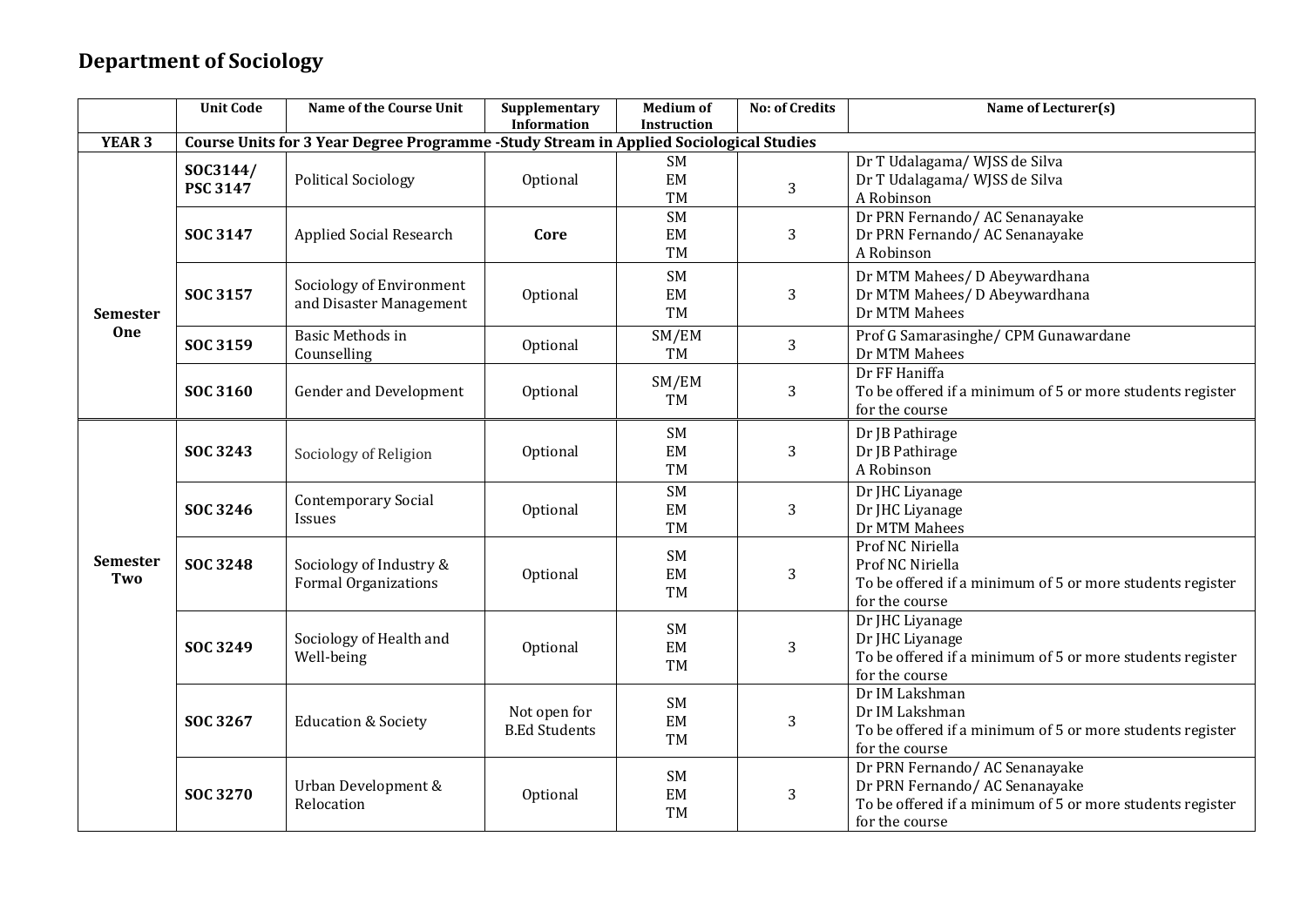## **Department of Sociology**

|                        | <b>Unit Code</b>            | <b>Name of the Course Unit</b>                                                         | Supplementary<br><b>Information</b>  | <b>Medium of</b><br>Instruction | <b>No: of Credits</b> | Name of Lecturer(s)                                                                                                                           |
|------------------------|-----------------------------|----------------------------------------------------------------------------------------|--------------------------------------|---------------------------------|-----------------------|-----------------------------------------------------------------------------------------------------------------------------------------------|
| YEAR <sub>3</sub>      |                             | Course Units for 3 Year Degree Programme -Study Stream in Applied Sociological Studies |                                      |                                 |                       |                                                                                                                                               |
|                        | SOC3144/<br><b>PSC 3147</b> | <b>Political Sociology</b>                                                             | Optional                             | SM<br>EM<br><b>TM</b>           | 3                     | Dr T Udalagama/ WJSS de Silva<br>Dr T Udalagama/ WJSS de Silva<br>A Robinson                                                                  |
|                        | SOC 3147                    | <b>Applied Social Research</b>                                                         | Core                                 | <b>SM</b><br>EM<br>TM           | 3                     | Dr PRN Fernando/AC Senanayake<br>Dr PRN Fernando/AC Senanayake<br>A Robinson                                                                  |
| <b>Semester</b>        | SOC 3157                    | Sociology of Environment<br>and Disaster Management                                    | Optional                             | <b>SM</b><br>EM<br><b>TM</b>    | 3                     | Dr MTM Mahees/ D Abeywardhana<br>Dr MTM Mahees/ D Abeywardhana<br>Dr MTM Mahees                                                               |
| One                    | SOC 3159                    | <b>Basic Methods in</b><br>Counselling                                                 | Optional                             | SM/EM<br>TM                     | 3                     | Prof G Samarasinghe/ CPM Gunawardane<br>Dr MTM Mahees                                                                                         |
|                        | SOC 3160                    | <b>Gender and Development</b>                                                          | Optional                             | SM/EM<br>TM                     | 3                     | Dr FF Haniffa<br>To be offered if a minimum of 5 or more students register<br>for the course                                                  |
|                        | SOC 3243                    | Sociology of Religion                                                                  | Optional                             | <b>SM</b><br>EM<br>TM           | 3                     | Dr JB Pathirage<br>Dr JB Pathirage<br>A Robinson                                                                                              |
| <b>Semester</b><br>Two | SOC 3246                    | <b>Contemporary Social</b><br>Issues                                                   | Optional                             | <b>SM</b><br>EM<br><b>TM</b>    | 3                     | Dr JHC Liyanage<br>Dr JHC Liyanage<br>Dr MTM Mahees                                                                                           |
|                        | SOC 3248                    | Sociology of Industry &<br><b>Formal Organizations</b>                                 | Optional                             | <b>SM</b><br>EM<br>TM           | 3                     | Prof NC Niriella<br>Prof NC Niriella<br>To be offered if a minimum of 5 or more students register<br>for the course                           |
|                        | SOC 3249                    | Sociology of Health and<br>Well-being                                                  | Optional                             | SM<br>EM<br><b>TM</b>           | 3                     | Dr JHC Liyanage<br>Dr JHC Liyanage<br>To be offered if a minimum of 5 or more students register<br>for the course                             |
|                        | SOC 3267                    | <b>Education &amp; Society</b>                                                         | Not open for<br><b>B.Ed Students</b> | SM<br>EM<br>TM                  | 3                     | Dr IM Lakshman<br>Dr IM Lakshman<br>To be offered if a minimum of 5 or more students register<br>for the course                               |
|                        | <b>SOC 3270</b>             | Urban Development &<br>Relocation                                                      | Optional                             | SM<br>EM<br><b>TM</b>           | 3                     | Dr PRN Fernando/AC Senanayake<br>Dr PRN Fernando/AC Senanayake<br>To be offered if a minimum of 5 or more students register<br>for the course |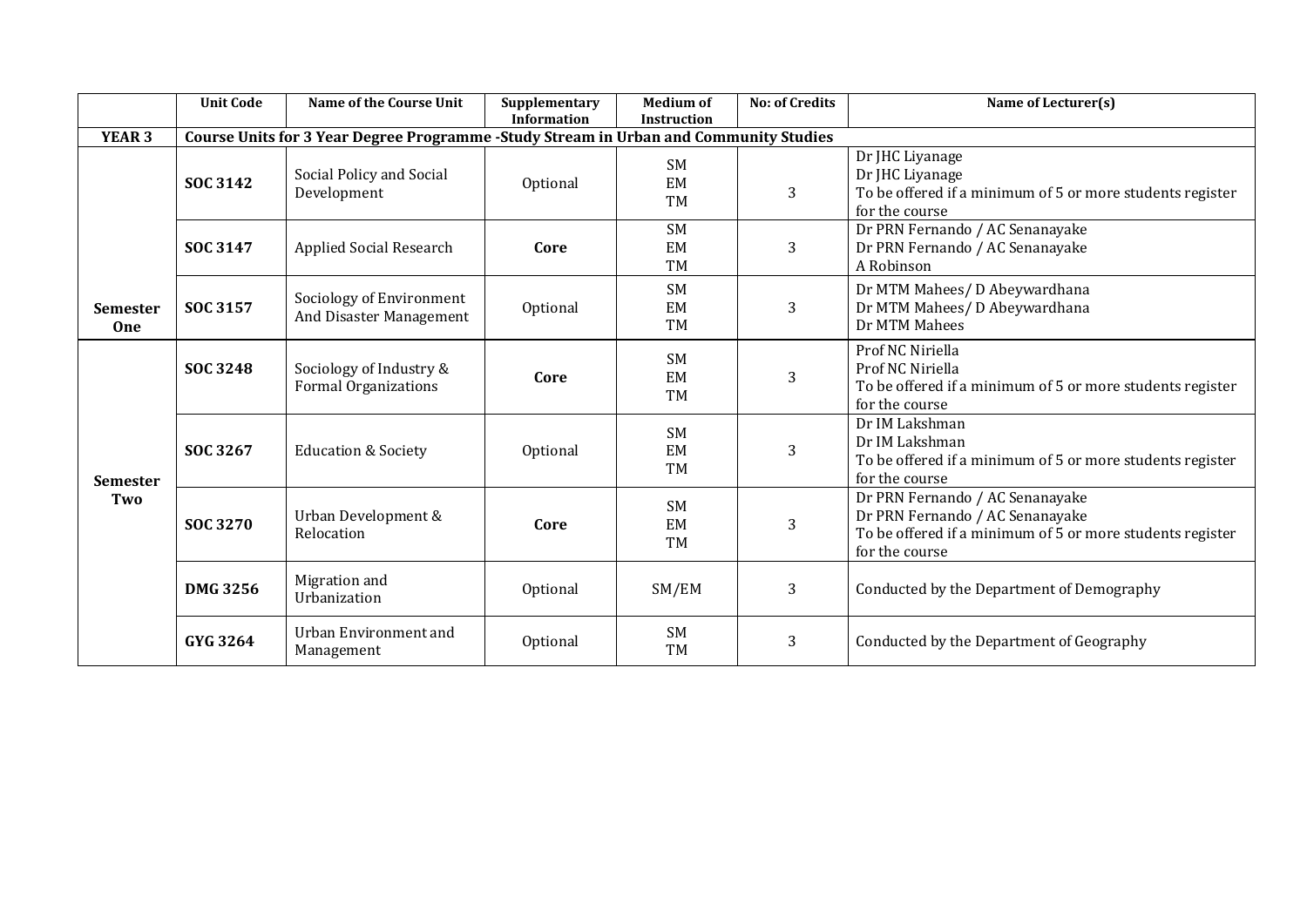|                        | <b>Unit Code</b> | <b>Name of the Course Unit</b>                                                        | Supplementary<br><b>Information</b> | <b>Medium of</b><br><b>Instruction</b> | <b>No: of Credits</b> | Name of Lecturer(s)                                                                                                                               |
|------------------------|------------------|---------------------------------------------------------------------------------------|-------------------------------------|----------------------------------------|-----------------------|---------------------------------------------------------------------------------------------------------------------------------------------------|
| <b>YEAR 3</b>          |                  | Course Units for 3 Year Degree Programme -Study Stream in Urban and Community Studies |                                     |                                        |                       |                                                                                                                                                   |
|                        | SOC 3142         | Social Policy and Social<br>Development                                               | Optional                            | <b>SM</b><br>EM<br><b>TM</b>           | 3                     | Dr JHC Liyanage<br>Dr JHC Liyanage<br>To be offered if a minimum of 5 or more students register<br>for the course                                 |
|                        | SOC 3147         | <b>Applied Social Research</b>                                                        | Core                                | <b>SM</b><br>EM<br><b>TM</b>           | 3                     | Dr PRN Fernando / AC Senanayake<br>Dr PRN Fernando / AC Senanayake<br>A Robinson                                                                  |
| <b>Semester</b><br>One | SOC 3157         | Sociology of Environment<br>And Disaster Management                                   | Optional                            | <b>SM</b><br>EM<br>TM                  | 3                     | Dr MTM Mahees/ D Abeywardhana<br>Dr MTM Mahees/ D Abeywardhana<br>Dr MTM Mahees                                                                   |
| <b>Semester</b><br>Two | <b>SOC 3248</b>  | Sociology of Industry &<br><b>Formal Organizations</b>                                | Core                                | <b>SM</b><br>EM<br>TM                  | 3                     | Prof NC Niriella<br>Prof NC Niriella<br>To be offered if a minimum of 5 or more students register<br>for the course                               |
|                        | SOC 3267         | <b>Education &amp; Society</b>                                                        | Optional                            | <b>SM</b><br>EM<br>TM                  | 3                     | Dr IM Lakshman<br>Dr IM Lakshman<br>To be offered if a minimum of 5 or more students register<br>for the course                                   |
|                        | SOC 3270         | Urban Development &<br>Relocation                                                     | Core                                | <b>SM</b><br>EM<br>TM                  | 3                     | Dr PRN Fernando / AC Senanayake<br>Dr PRN Fernando / AC Senanayake<br>To be offered if a minimum of 5 or more students register<br>for the course |
|                        | <b>DMG 3256</b>  | Migration and<br>Urbanization                                                         | Optional                            | SM/EM                                  | 3                     | Conducted by the Department of Demography                                                                                                         |
|                        | GYG 3264         | Urban Environment and<br>Management                                                   | Optional                            | <b>SM</b><br><b>TM</b>                 | 3                     | Conducted by the Department of Geography                                                                                                          |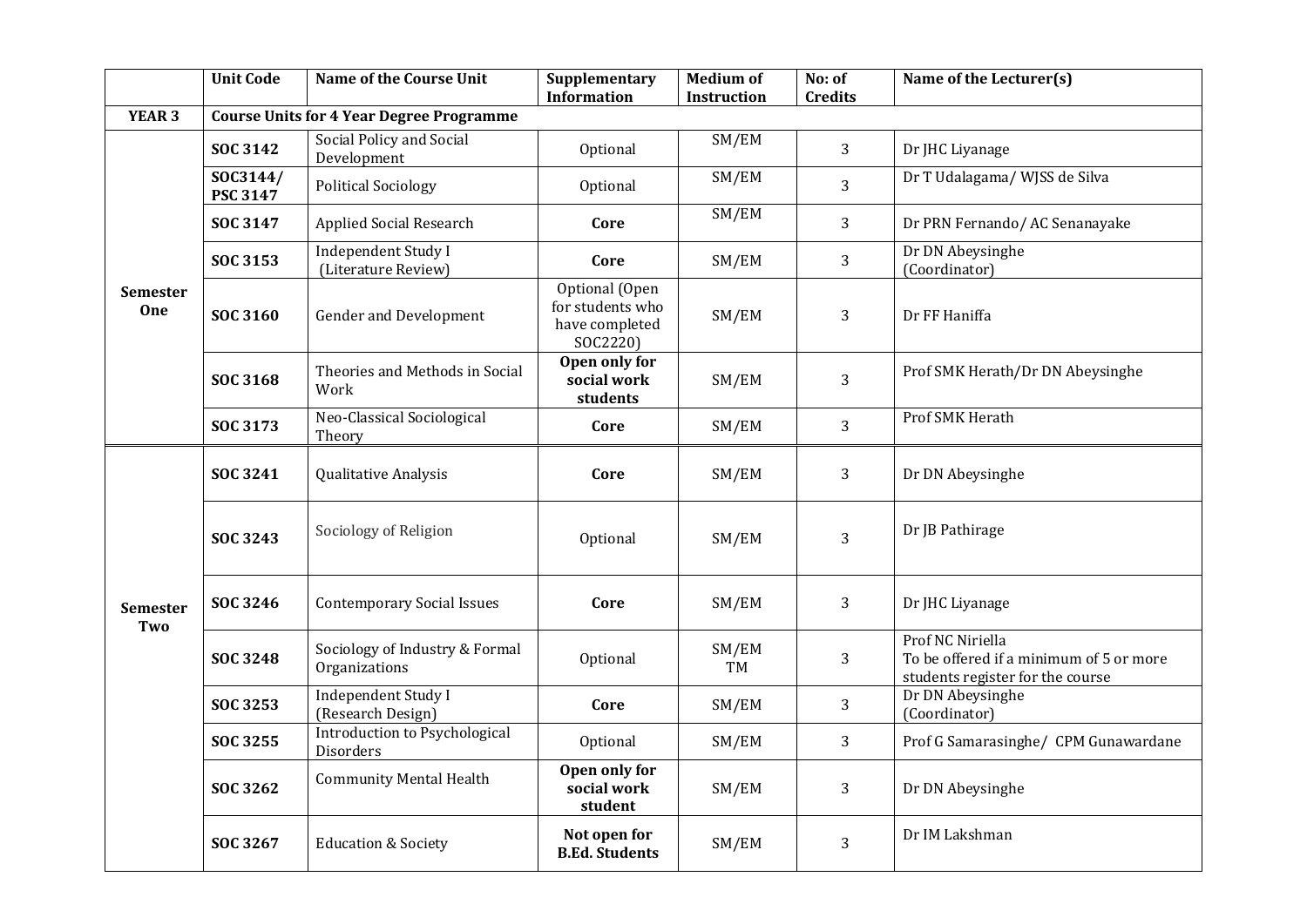|                        | <b>Unit Code</b>     | Name of the Course Unit                           | Supplementary<br><b>Information</b>                              | <b>Medium of</b><br><b>Instruction</b> | No: of<br><b>Credits</b> | Name of the Lecturer(s)                                                                         |
|------------------------|----------------------|---------------------------------------------------|------------------------------------------------------------------|----------------------------------------|--------------------------|-------------------------------------------------------------------------------------------------|
| <b>YEAR 3</b>          |                      | <b>Course Units for 4 Year Degree Programme</b>   |                                                                  |                                        |                          |                                                                                                 |
|                        | <b>SOC 3142</b>      | Social Policy and Social<br>Development           | Optional                                                         | SM/EM                                  | 3                        | Dr JHC Liyanage                                                                                 |
|                        | SOC3144/<br>PSC 3147 | <b>Political Sociology</b>                        | Optional                                                         | SM/EM                                  | 3                        | Dr T Udalagama/ WJSS de Silva                                                                   |
| <b>Semester</b><br>One | SOC 3147             | <b>Applied Social Research</b>                    | Core                                                             | SM/EM                                  | 3                        | Dr PRN Fernando/AC Senanayake                                                                   |
|                        | SOC 3153             | <b>Independent Study I</b><br>(Literature Review) | Core                                                             | SM/EM                                  | 3                        | Dr DN Abeysinghe<br>(Coordinator)                                                               |
|                        | SOC 3160             | <b>Gender and Development</b>                     | Optional (Open<br>for students who<br>have completed<br>SOC2220) | SM/EM                                  | 3                        | Dr FF Haniffa                                                                                   |
|                        | SOC 3168             | Theories and Methods in Social<br>Work            | Open only for<br>social work<br>students                         | SM/EM                                  | 3                        | Prof SMK Herath/Dr DN Abeysinghe                                                                |
|                        | SOC 3173             | Neo-Classical Sociological<br>Theory              | Core                                                             | SM/EM                                  | 3                        | <b>Prof SMK Herath</b>                                                                          |
|                        | SOC 3241             | Qualitative Analysis                              | Core                                                             | SM/EM                                  | 3                        | Dr DN Abeysinghe                                                                                |
|                        | SOC 3243             | Sociology of Religion                             | Optional                                                         | SM/EM                                  | 3                        | Dr JB Pathirage                                                                                 |
| Semester<br>Two        | SOC 3246             | <b>Contemporary Social Issues</b>                 | Core                                                             | SM/EM                                  | 3                        | Dr JHC Liyanage                                                                                 |
|                        | SOC 3248             | Sociology of Industry & Formal<br>Organizations   | Optional                                                         | SM/EM<br><b>TM</b>                     | 3                        | Prof NC Niriella<br>To be offered if a minimum of 5 or more<br>students register for the course |
|                        | SOC 3253             | <b>Independent Study I</b><br>(Research Design)   | Core                                                             | SM/EM                                  | 3                        | Dr DN Abeysinghe<br>(Coordinator)                                                               |
|                        | SOC 3255             | Introduction to Psychological<br>Disorders        | Optional                                                         | SM/EM                                  | 3                        | Prof G Samarasinghe/ CPM Gunawardane                                                            |
|                        | SOC 3262             | <b>Community Mental Health</b>                    | Open only for<br>social work<br>student                          | SM/EM                                  | 3                        | Dr DN Abeysinghe                                                                                |
|                        | SOC 3267             | <b>Education &amp; Society</b>                    | Not open for<br><b>B.Ed. Students</b>                            | SM/EM                                  | 3                        | Dr IM Lakshman                                                                                  |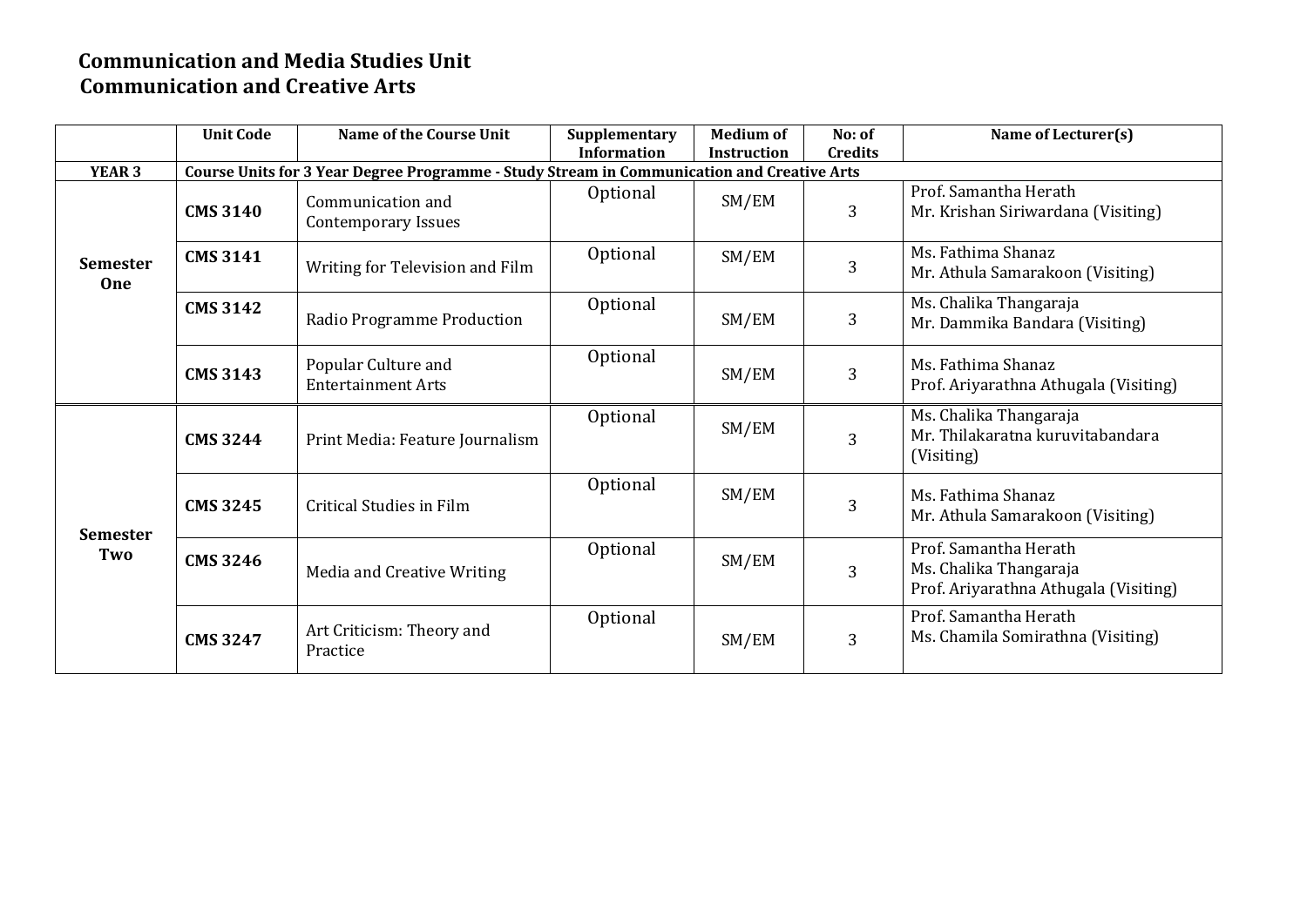#### **Communication and Media Studies Unit Communication and Creative Arts**

|                        | <b>Unit Code</b>                                                                           | Name of the Course Unit                          | Supplementary      | <b>Medium of</b>   | No: of         | Name of Lecturer(s)                                                                      |  |  |
|------------------------|--------------------------------------------------------------------------------------------|--------------------------------------------------|--------------------|--------------------|----------------|------------------------------------------------------------------------------------------|--|--|
|                        |                                                                                            |                                                  | <b>Information</b> | <b>Instruction</b> | <b>Credits</b> |                                                                                          |  |  |
| <b>YEAR 3</b>          | Course Units for 3 Year Degree Programme - Study Stream in Communication and Creative Arts |                                                  |                    |                    |                |                                                                                          |  |  |
| <b>Semester</b><br>One | <b>CMS 3140</b>                                                                            | Communication and<br><b>Contemporary Issues</b>  | Optional           | SM/EM              | 3              | Prof. Samantha Herath<br>Mr. Krishan Siriwardana (Visiting)                              |  |  |
|                        | <b>CMS 3141</b>                                                                            | Writing for Television and Film                  | Optional           | SM/EM              | 3              | Ms. Fathima Shanaz<br>Mr. Athula Samarakoon (Visiting)                                   |  |  |
|                        | <b>CMS 3142</b>                                                                            | Radio Programme Production                       | Optional           | SM/EM              | 3              | Ms. Chalika Thangaraja<br>Mr. Dammika Bandara (Visiting)                                 |  |  |
|                        | <b>CMS 3143</b>                                                                            | Popular Culture and<br><b>Entertainment Arts</b> | Optional           | SM/EM              | 3              | Ms. Fathima Shanaz<br>Prof. Ariyarathna Athugala (Visiting)                              |  |  |
|                        | <b>CMS 3244</b>                                                                            | Print Media: Feature Journalism                  | Optional           | SM/EM              | 3              | Ms. Chalika Thangaraja<br>Mr. Thilakaratna kuruvitabandara<br>(Visiting)                 |  |  |
| <b>Semester</b>        | <b>CMS 3245</b>                                                                            | Critical Studies in Film                         | Optional           | SM/EM              | 3              | Ms. Fathima Shanaz<br>Mr. Athula Samarakoon (Visiting)                                   |  |  |
| Two                    | <b>CMS 3246</b>                                                                            | Media and Creative Writing                       | Optional           | SM/EM              | 3              | Prof. Samantha Herath<br>Ms. Chalika Thangaraja<br>Prof. Ariyarathna Athugala (Visiting) |  |  |
|                        | <b>CMS 3247</b>                                                                            | Art Criticism: Theory and<br>Practice            | Optional           | SM/EM              | 3              | Prof. Samantha Herath<br>Ms. Chamila Somirathna (Visiting)                               |  |  |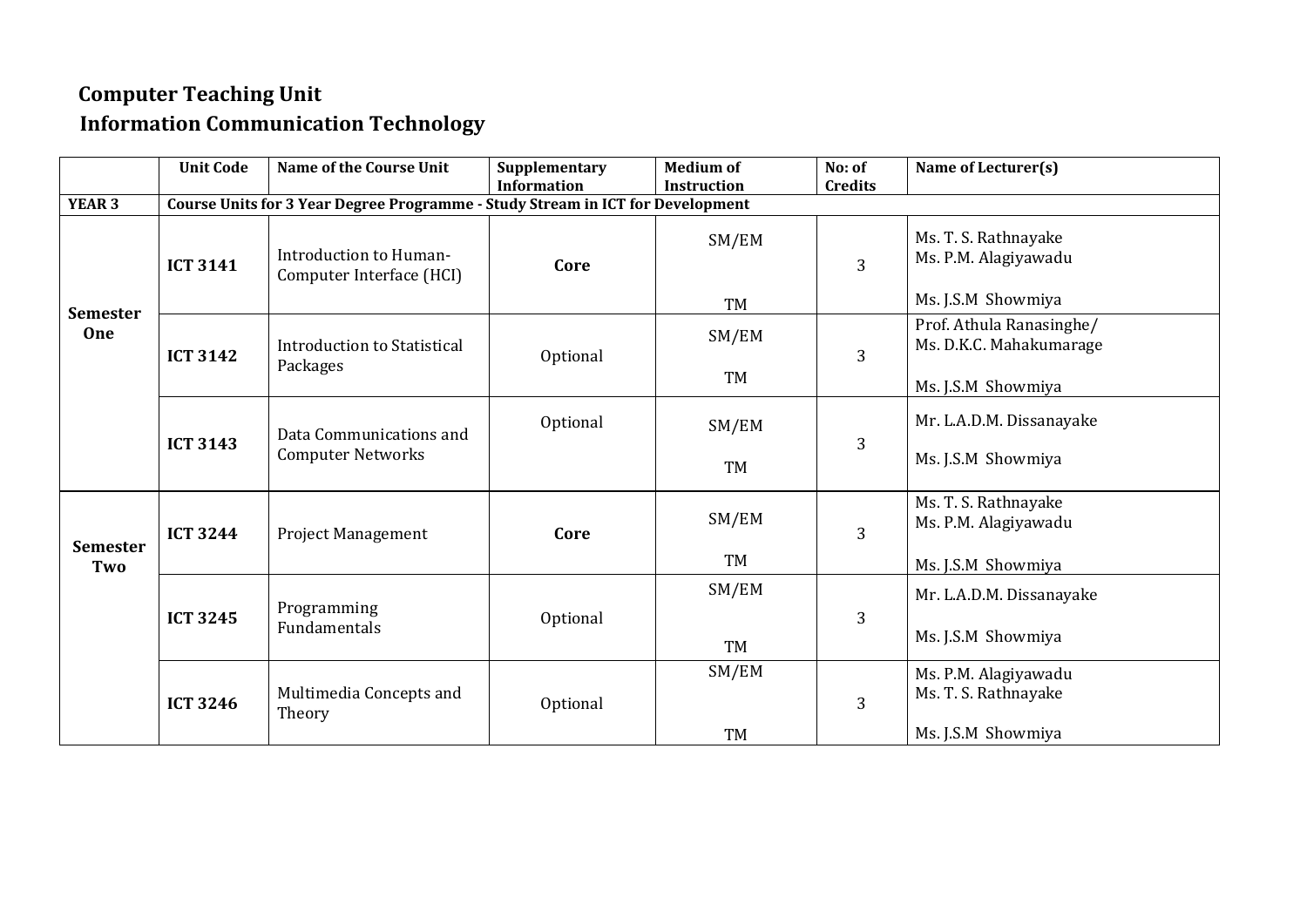## **Computer Teaching Unit Information Communication Technology**

|                        | <b>Unit Code</b> | Name of the Course Unit                                                        | Supplementary      | <b>Medium of</b>   | No: of         | Name of Lecturer(s)                                 |
|------------------------|------------------|--------------------------------------------------------------------------------|--------------------|--------------------|----------------|-----------------------------------------------------|
| <b>YEAR 3</b>          |                  | Course Units for 3 Year Degree Programme - Study Stream in ICT for Development | <b>Information</b> | <b>Instruction</b> | <b>Credits</b> |                                                     |
|                        |                  |                                                                                |                    |                    |                |                                                     |
|                        | <b>ICT 3141</b>  | Introduction to Human-<br>Computer Interface (HCI)                             | Core               | SM/EM              | 3              | Ms. T. S. Rathnayake<br>Ms. P.M. Alagiyawadu        |
|                        |                  |                                                                                |                    | TM                 |                | Ms. J.S.M Showmiya                                  |
| <b>Semester</b><br>One | <b>ICT 3142</b>  | Introduction to Statistical                                                    | Optional           | SM/EM              | 3              | Prof. Athula Ranasinghe/<br>Ms. D.K.C. Mahakumarage |
|                        |                  | Packages                                                                       |                    | <b>TM</b>          |                | Ms. J.S.M Showmiya                                  |
|                        | <b>ICT 3143</b>  | Data Communications and                                                        | Optional           | SM/EM              | 3              | Mr. L.A.D.M. Dissanayake                            |
|                        |                  | <b>Computer Networks</b>                                                       |                    | <b>TM</b>          |                | Ms. J.S.M Showmiya                                  |
| <b>Semester</b>        | <b>ICT 3244</b>  | <b>Project Management</b>                                                      | Core               | SM/EM              | 3              | Ms. T. S. Rathnayake<br>Ms. P.M. Alagiyawadu        |
| Two                    |                  |                                                                                |                    | TM                 |                | Ms. J.S.M Showmiya                                  |
|                        | <b>ICT 3245</b>  | Programming                                                                    | Optional           | SM/EM              | 3              | Mr. L.A.D.M. Dissanayake                            |
|                        |                  | Fundamentals                                                                   |                    | <b>TM</b>          |                | Ms. J.S.M Showmiya                                  |
|                        | <b>ICT 3246</b>  | Multimedia Concepts and<br>Theory                                              | Optional           | SM/EM              | 3              | Ms. P.M. Alagiyawadu<br>Ms. T. S. Rathnayake        |
|                        |                  |                                                                                |                    | TM                 |                | Ms. J.S.M Showmiya                                  |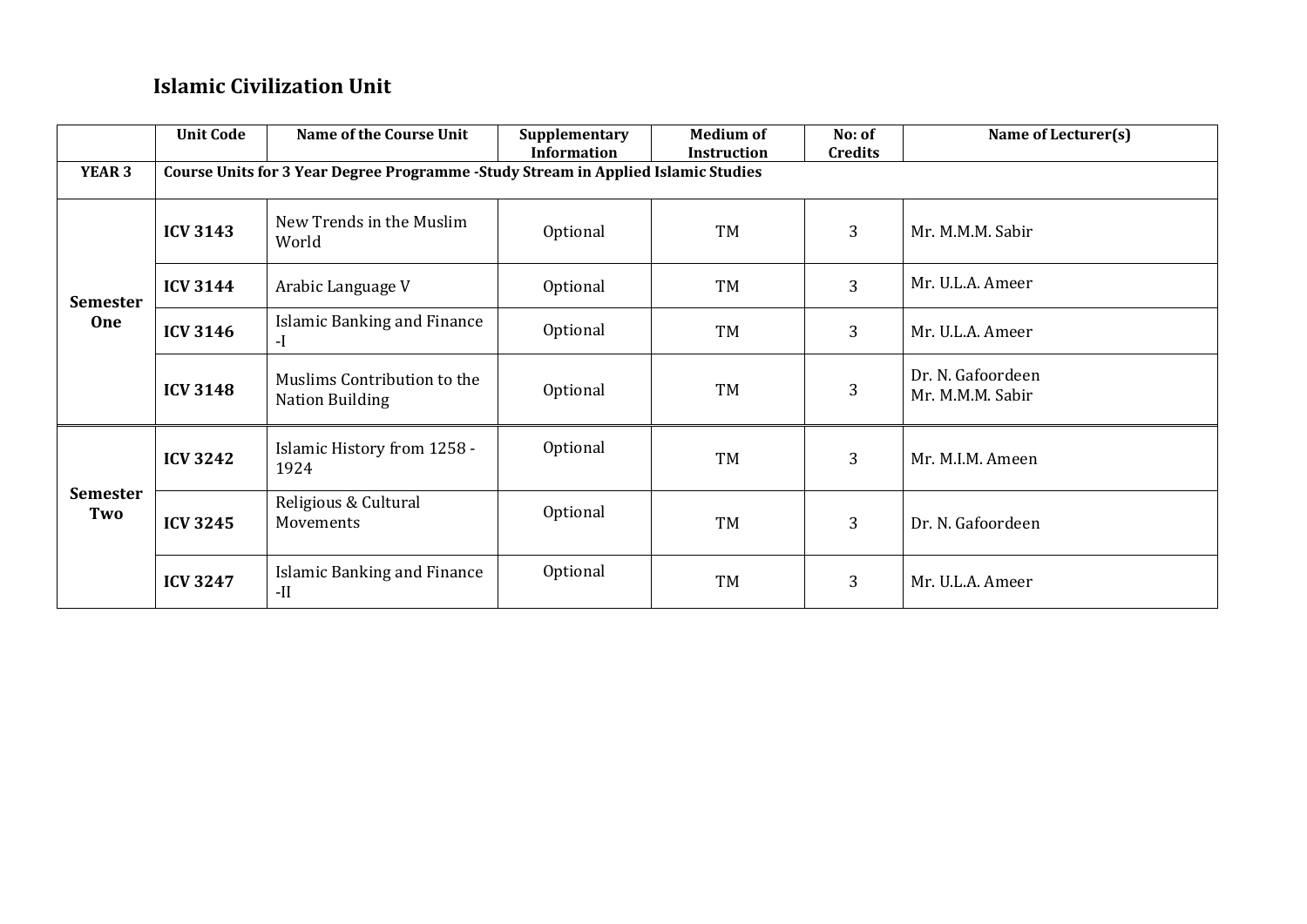#### **Islamic Civilization Unit**

|                        | <b>Unit Code</b> | <b>Name of the Course Unit</b>                                                    | Supplementary<br><b>Information</b> | <b>Medium of</b><br><b>Instruction</b> | No: of<br><b>Credits</b> | Name of Lecturer(s)                   |  |  |  |  |
|------------------------|------------------|-----------------------------------------------------------------------------------|-------------------------------------|----------------------------------------|--------------------------|---------------------------------------|--|--|--|--|
| YEAR 3                 |                  | Course Units for 3 Year Degree Programme -Study Stream in Applied Islamic Studies |                                     |                                        |                          |                                       |  |  |  |  |
|                        | <b>ICV 3143</b>  | New Trends in the Muslim<br>World                                                 | Optional                            | TM                                     | $\overline{3}$           | Mr. M.M.M. Sabir                      |  |  |  |  |
| <b>Semester</b>        | <b>ICV 3144</b>  | Arabic Language V                                                                 | Optional                            | TM                                     | $\overline{3}$           | Mr. U.L.A. Ameer                      |  |  |  |  |
| One                    | <b>ICV 3146</b>  | Islamic Banking and Finance<br>$-I$                                               | Optional                            | TM                                     | 3                        | Mr. U.L.A. Ameer                      |  |  |  |  |
|                        | <b>ICV 3148</b>  | Muslims Contribution to the<br><b>Nation Building</b>                             | Optional                            | TM                                     | $\overline{3}$           | Dr. N. Gafoordeen<br>Mr. M.M.M. Sabir |  |  |  |  |
| <b>Semester</b><br>Two | <b>ICV 3242</b>  | Islamic History from 1258 -<br>1924                                               | Optional                            | TM                                     | 3                        | Mr. M.I.M. Ameen                      |  |  |  |  |
|                        | <b>ICV 3245</b>  | Religious & Cultural<br>Movements                                                 | Optional                            | TM                                     | 3                        | Dr. N. Gafoordeen                     |  |  |  |  |
|                        | <b>ICV 3247</b>  | Islamic Banking and Finance<br>$-II$                                              | Optional                            | TM                                     | 3                        | Mr. U.L.A. Ameer                      |  |  |  |  |